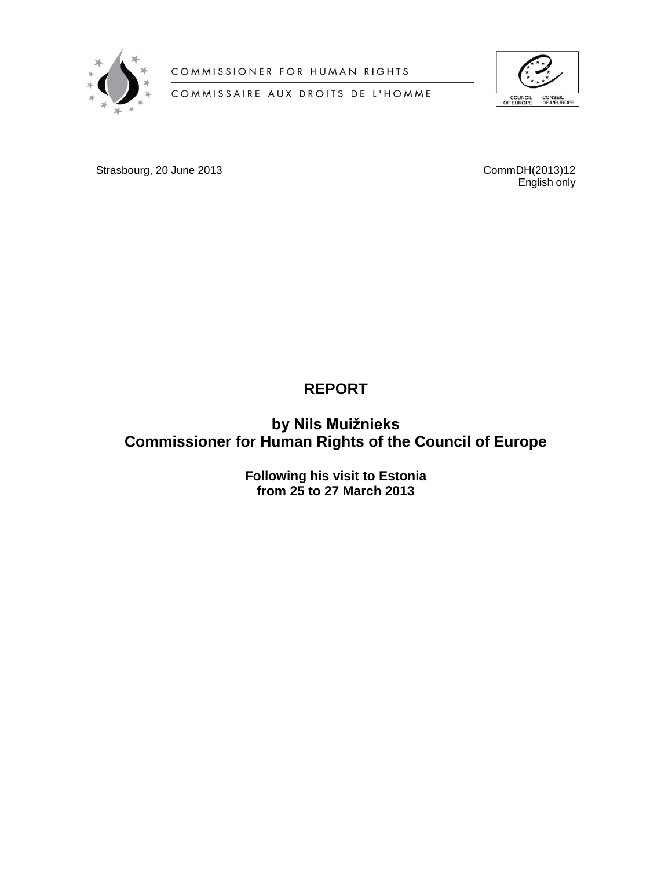

COMMISSIONER FOR HUMAN RIGHTS

COMMISSAIRE AUX DROITS DE L'HOMME



Strasbourg, 20 June 2013 2000 2001 2002 2013 2014 2013 2014 2013 2014 2014 2015 2016

English only

# **REPORT**

**by Nils Muižnieks Commissioner for Human Rights of the Council of Europe**

> **Following his visit to Estonia from 25 to 27 March 2013**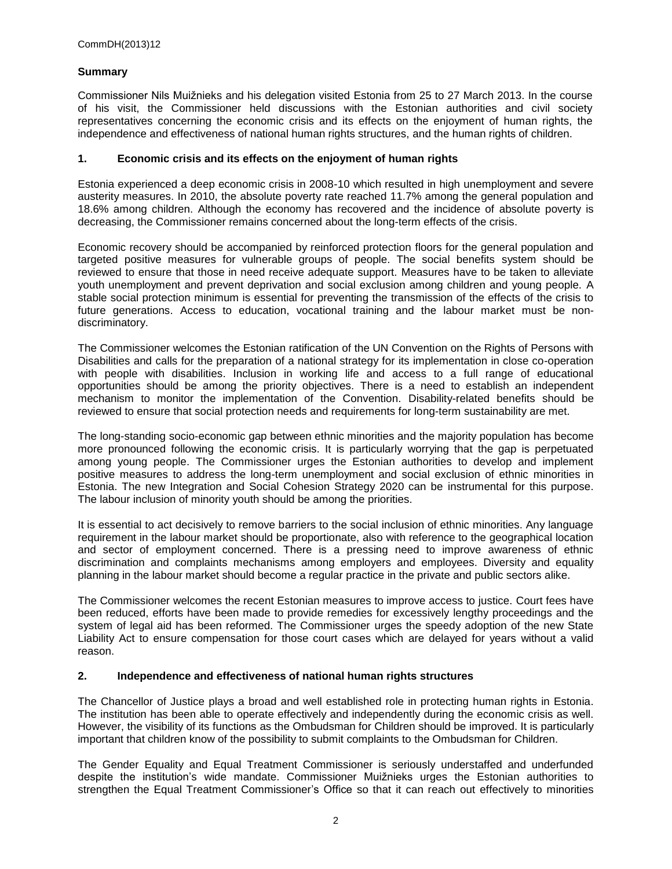## **Summary**

Commissioner Nils Muižnieks and his delegation visited Estonia from 25 to 27 March 2013. In the course of his visit, the Commissioner held discussions with the Estonian authorities and civil society representatives concerning the economic crisis and its effects on the enjoyment of human rights, the independence and effectiveness of national human rights structures, and the human rights of children.

## **1. Economic crisis and its effects on the enjoyment of human rights**

Estonia experienced a deep economic crisis in 2008-10 which resulted in high unemployment and severe austerity measures. In 2010, the absolute poverty rate reached 11.7% among the general population and 18.6% among children. Although the economy has recovered and the incidence of absolute poverty is decreasing, the Commissioner remains concerned about the long-term effects of the crisis.

Economic recovery should be accompanied by reinforced protection floors for the general population and targeted positive measures for vulnerable groups of people. The social benefits system should be reviewed to ensure that those in need receive adequate support. Measures have to be taken to alleviate youth unemployment and prevent deprivation and social exclusion among children and young people. A stable social protection minimum is essential for preventing the transmission of the effects of the crisis to future generations. Access to education, vocational training and the labour market must be nondiscriminatory.

The Commissioner welcomes the Estonian ratification of the UN Convention on the Rights of Persons with Disabilities and calls for the preparation of a national strategy for its implementation in close co-operation with people with disabilities. Inclusion in working life and access to a full range of educational opportunities should be among the priority objectives. There is a need to establish an independent mechanism to monitor the implementation of the Convention. Disability-related benefits should be reviewed to ensure that social protection needs and requirements for long-term sustainability are met.

The long-standing socio-economic gap between ethnic minorities and the majority population has become more pronounced following the economic crisis. It is particularly worrying that the gap is perpetuated among young people. The Commissioner urges the Estonian authorities to develop and implement positive measures to address the long-term unemployment and social exclusion of ethnic minorities in Estonia. The new Integration and Social Cohesion Strategy 2020 can be instrumental for this purpose. The labour inclusion of minority youth should be among the priorities.

It is essential to act decisively to remove barriers to the social inclusion of ethnic minorities. Any language requirement in the labour market should be proportionate, also with reference to the geographical location and sector of employment concerned. There is a pressing need to improve awareness of ethnic discrimination and complaints mechanisms among employers and employees. Diversity and equality planning in the labour market should become a regular practice in the private and public sectors alike.

The Commissioner welcomes the recent Estonian measures to improve access to justice. Court fees have been reduced, efforts have been made to provide remedies for excessively lengthy proceedings and the system of legal aid has been reformed. The Commissioner urges the speedy adoption of the new State Liability Act to ensure compensation for those court cases which are delayed for years without a valid reason.

#### **2. Independence and effectiveness of national human rights structures**

The Chancellor of Justice plays a broad and well established role in protecting human rights in Estonia. The institution has been able to operate effectively and independently during the economic crisis as well. However, the visibility of its functions as the Ombudsman for Children should be improved. It is particularly important that children know of the possibility to submit complaints to the Ombudsman for Children.

The Gender Equality and Equal Treatment Commissioner is seriously understaffed and underfunded despite the institution's wide mandate. Commissioner Muižnieks urges the Estonian authorities to strengthen the Equal Treatment Commissioner's Office so that it can reach out effectively to minorities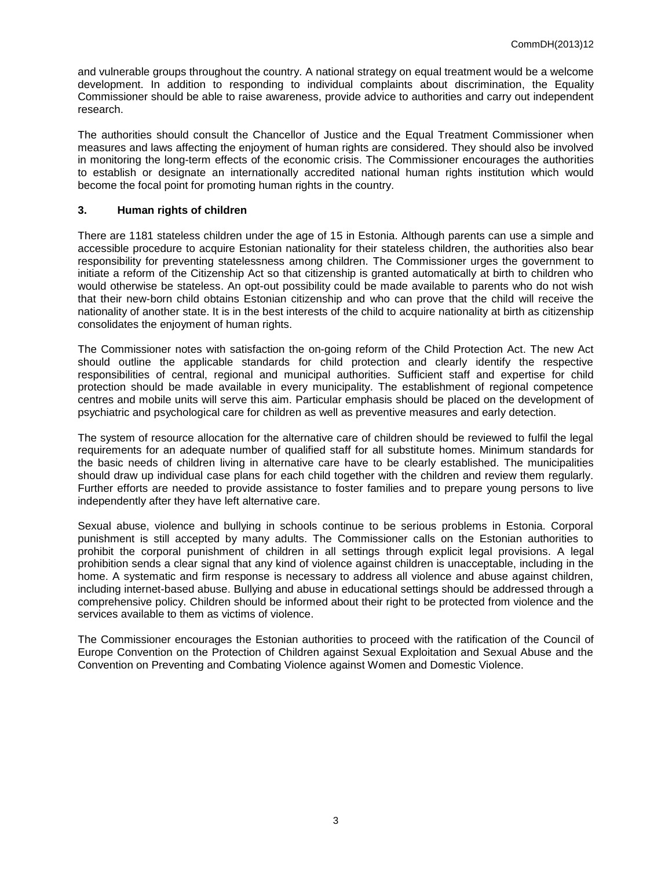and vulnerable groups throughout the country. A national strategy on equal treatment would be a welcome development. In addition to responding to individual complaints about discrimination, the Equality Commissioner should be able to raise awareness, provide advice to authorities and carry out independent research.

The authorities should consult the Chancellor of Justice and the Equal Treatment Commissioner when measures and laws affecting the enjoyment of human rights are considered. They should also be involved in monitoring the long-term effects of the economic crisis. The Commissioner encourages the authorities to establish or designate an internationally accredited national human rights institution which would become the focal point for promoting human rights in the country.

#### **3. Human rights of children**

There are 1181 stateless children under the age of 15 in Estonia. Although parents can use a simple and accessible procedure to acquire Estonian nationality for their stateless children, the authorities also bear responsibility for preventing statelessness among children. The Commissioner urges the government to initiate a reform of the Citizenship Act so that citizenship is granted automatically at birth to children who would otherwise be stateless. An opt-out possibility could be made available to parents who do not wish that their new-born child obtains Estonian citizenship and who can prove that the child will receive the nationality of another state. It is in the best interests of the child to acquire nationality at birth as citizenship consolidates the enjoyment of human rights.

The Commissioner notes with satisfaction the on-going reform of the Child Protection Act. The new Act should outline the applicable standards for child protection and clearly identify the respective responsibilities of central, regional and municipal authorities. Sufficient staff and expertise for child protection should be made available in every municipality. The establishment of regional competence centres and mobile units will serve this aim. Particular emphasis should be placed on the development of psychiatric and psychological care for children as well as preventive measures and early detection.

The system of resource allocation for the alternative care of children should be reviewed to fulfil the legal requirements for an adequate number of qualified staff for all substitute homes. Minimum standards for the basic needs of children living in alternative care have to be clearly established. The municipalities should draw up individual case plans for each child together with the children and review them regularly. Further efforts are needed to provide assistance to foster families and to prepare young persons to live independently after they have left alternative care.

Sexual abuse, violence and bullying in schools continue to be serious problems in Estonia. Corporal punishment is still accepted by many adults. The Commissioner calls on the Estonian authorities to prohibit the corporal punishment of children in all settings through explicit legal provisions. A legal prohibition sends a clear signal that any kind of violence against children is unacceptable, including in the home. A systematic and firm response is necessary to address all violence and abuse against children, including internet-based abuse. Bullying and abuse in educational settings should be addressed through a comprehensive policy. Children should be informed about their right to be protected from violence and the services available to them as victims of violence.

The Commissioner encourages the Estonian authorities to proceed with the ratification of the Council of Europe Convention on the Protection of Children against Sexual Exploitation and Sexual Abuse and the Convention on Preventing and Combating Violence against Women and Domestic Violence.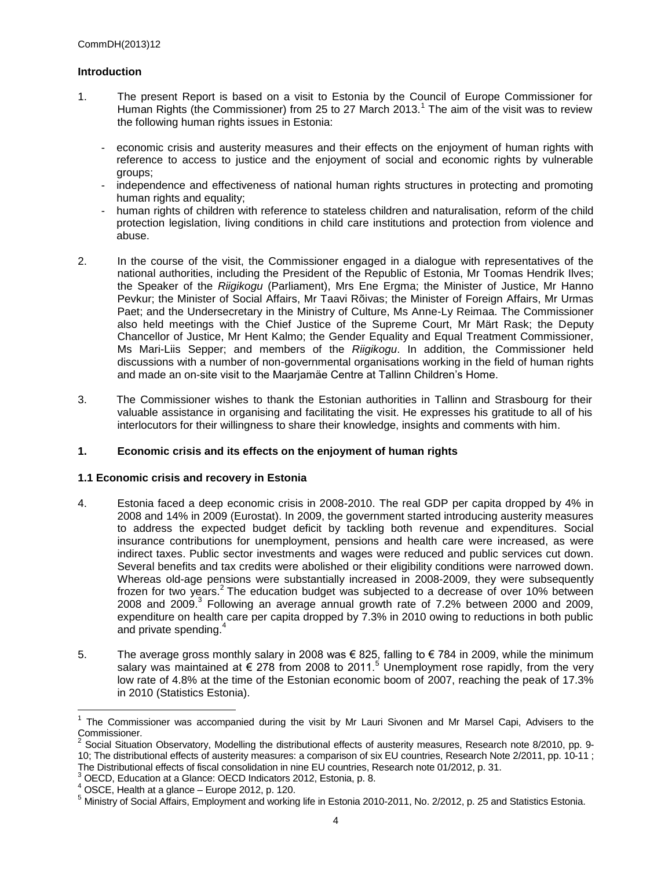## **Introduction**

- 1. The present Report is based on a visit to Estonia by the Council of Europe Commissioner for Human Rights (the Commissioner) from 25 to 27 March 2013.<sup>1</sup> The aim of the visit was to review the following human rights issues in Estonia:
	- economic crisis and austerity measures and their effects on the enjoyment of human rights with reference to access to justice and the enjoyment of social and economic rights by vulnerable groups;
	- independence and effectiveness of national human rights structures in protecting and promoting human rights and equality;
	- human rights of children with reference to stateless children and naturalisation, reform of the child protection legislation, living conditions in child care institutions and protection from violence and abuse.
- 2. In the course of the visit, the Commissioner engaged in a dialogue with representatives of the national authorities, including the President of the Republic of Estonia, Mr Toomas Hendrik Ilves; the Speaker of the *Riigikogu* (Parliament), Mrs Ene Ergma; the Minister of Justice, Mr Hanno Pevkur; the Minister of Social Affairs, Mr Taavi Rõivas; the Minister of Foreign Affairs, Mr Urmas Paet; and the Undersecretary in the Ministry of Culture, Ms Anne-Ly Reimaa. The Commissioner also held meetings with the Chief Justice of the Supreme Court, Mr Märt Rask; the Deputy Chancellor of Justice, Mr Hent Kalmo; the Gender Equality and Equal Treatment Commissioner, Ms Mari-Liis Sepper; and members of the *Riigikogu*. In addition, the Commissioner held discussions with a number of non-governmental organisations working in the field of human rights and made an on-site visit to the Maarjamäe Centre at Tallinn Children's Home.
- 3. The Commissioner wishes to thank the Estonian authorities in Tallinn and Strasbourg for their valuable assistance in organising and facilitating the visit. He expresses his gratitude to all of his interlocutors for their willingness to share their knowledge, insights and comments with him.

#### **1. Economic crisis and its effects on the enjoyment of human rights**

#### **1.1 Economic crisis and recovery in Estonia**

- 4. Estonia faced a deep economic crisis in 2008-2010. The real GDP per capita dropped by 4% in 2008 and 14% in 2009 (Eurostat). In 2009, the government started introducing austerity measures to address the expected budget deficit by tackling both revenue and expenditures. Social insurance contributions for unemployment, pensions and health care were increased, as were indirect taxes. Public sector investments and wages were reduced and public services cut down. Several benefits and tax credits were abolished or their eligibility conditions were narrowed down. Whereas old-age pensions were substantially increased in 2008-2009, they were subsequently frozen for two years.<sup>2</sup> The education budget was subjected to a decrease of over 10% between 2008 and 2009. $3$  Following an average annual growth rate of 7.2% between 2000 and 2009, expenditure on health care per capita dropped by 7.3% in 2010 owing to reductions in both public and private spending.<sup>4</sup>
- 5. The average gross monthly salary in 2008 was € 825, falling to € 784 in 2009, while the minimum salary was maintained at  $\epsilon$  278 from 2008 to 2011.<sup>5</sup> Unemployment rose rapidly, from the very low rate of 4.8% at the time of the Estonian economic boom of 2007, reaching the peak of 17.3% in 2010 (Statistics Estonia).

<sup>1</sup> The Commissioner was accompanied during the visit by Mr Lauri Sivonen and Mr Marsel Capi, Advisers to the Commissioner.

<sup>&</sup>lt;sup>2</sup> Social Situation Observatory, Modelling the distributional effects of austerity measures, Research note 8/2010, pp. 9-10; The distributional effects of austerity measures: a comparison of six EU countries, Research Note 2/2011, pp. 10-11 ; The Distributional effects of fiscal consolidation in nine EU countries, Research note 01/2012, p. 31.

<sup>3</sup> OECD, Education at a Glance: OECD Indicators 2012, Estonia, p. 8.

 $4$  OSCE, Health at a glance – Europe 2012, p. 120.

<sup>5</sup> Ministry of Social Affairs, Employment and working life in Estonia 2010-2011, No. 2/2012, p. 25 and Statistics Estonia.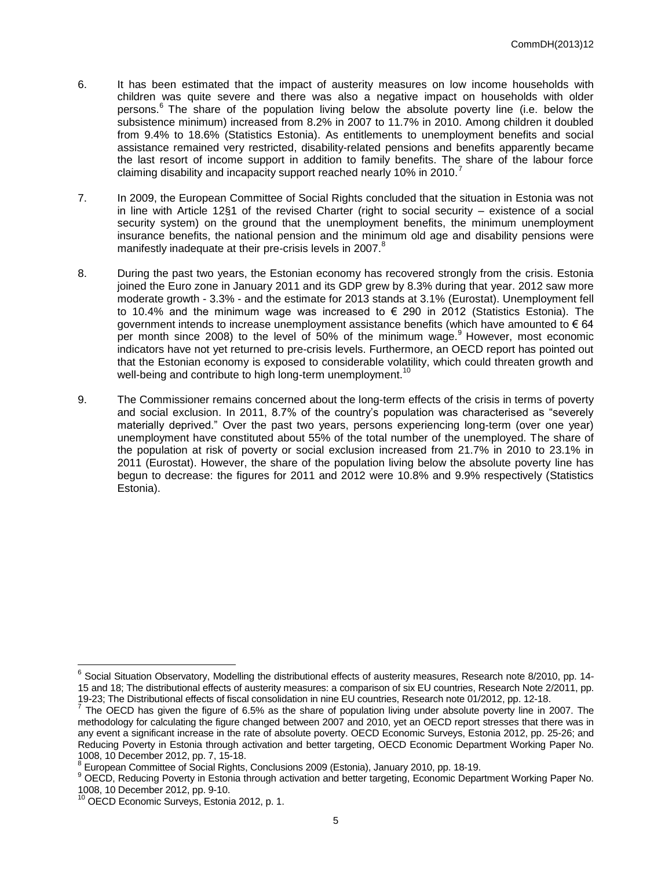- 6. It has been estimated that the impact of austerity measures on low income households with children was quite severe and there was also a negative impact on households with older persons.<sup>6</sup> The share of the population living below the absolute poverty line (i.e. below the subsistence minimum) increased from 8.2% in 2007 to 11.7% in 2010. Among children it doubled from 9.4% to 18.6% (Statistics Estonia). As entitlements to unemployment benefits and social assistance remained very restricted, disability-related pensions and benefits apparently became the last resort of income support in addition to family benefits. The share of the labour force claiming disability and incapacity support reached nearly 10% in 2010.<sup>7</sup>
- 7. In 2009, the European Committee of Social Rights concluded that the situation in Estonia was not in line with Article 12§1 of the revised Charter (right to social security – existence of a social security system) on the ground that the unemployment benefits, the minimum unemployment insurance benefits, the national pension and the minimum old age and disability pensions were manifestly inadequate at their pre-crisis levels in 2007.<sup>8</sup>
- 8. During the past two years, the Estonian economy has recovered strongly from the crisis. Estonia joined the Euro zone in January 2011 and its GDP grew by 8.3% during that year. 2012 saw more moderate growth - 3.3% - and the estimate for 2013 stands at 3.1% (Eurostat). Unemployment fell to 10.4% and the minimum wage was increased to  $\epsilon$  290 in 2012 (Statistics Estonia). The government intends to increase unemployment assistance benefits (which have amounted to  $\epsilon$  64 per month since 2008) to the level of 50% of the minimum wage.<sup>9</sup> However, most economic indicators have not yet returned to pre-crisis levels. Furthermore, an OECD report has pointed out that the Estonian economy is exposed to considerable volatility, which could threaten growth and well-being and contribute to high long-term unemployment.<sup>10</sup>
- 9. The Commissioner remains concerned about the long-term effects of the crisis in terms of poverty and social exclusion. In 2011, 8.7% of the country's population was characterised as "severely materially deprived." Over the past two years, persons experiencing long-term (over one year) unemployment have constituted about 55% of the total number of the unemployed. The share of the population at risk of poverty or social exclusion increased from 21.7% in 2010 to 23.1% in 2011 (Eurostat). However, the share of the population living below the absolute poverty line has begun to decrease: the figures for 2011 and 2012 were 10.8% and 9.9% respectively (Statistics Estonia).

<sup>&</sup>lt;sup>6</sup> Social Situation Observatory, Modelling the distributional effects of austerity measures, Research note 8/2010, pp. 14-15 and 18; The distributional effects of austerity measures: a comparison of six EU countries, Research Note 2/2011, pp. 19-23; The Distributional effects of fiscal consolidation in nine EU countries, Research note 01/2012, pp. 12-18.<br><sup>7</sup> The OECD has given the figure of 6.5% as the abore of population living under absolute poverty line in '

The OECD has given the figure of 6.5% as the share of population living under absolute poverty line in 2007. The methodology for calculating the figure changed between 2007 and 2010, yet an OECD report stresses that there was in any event a significant increase in the rate of absolute poverty. OECD Economic Surveys, Estonia 2012, pp. 25-26; and Reducing Poverty in Estonia through activation and better targeting, OECD Economic Department Working Paper No. 1008, 10 December 2012, pp. 7, 15-18.

<sup>&</sup>lt;sup>8</sup> European Committee of Social Rights, Conclusions 2009 (Estonia), January 2010, pp. 18-19.

<sup>&</sup>lt;sup>9</sup> OECD, Reducing Poverty in Estonia through activation and better targeting, Economic Department Working Paper No. 1008, 10 December 2012, pp. 9-10.

<sup>&</sup>lt;sup>10</sup> OECD Economic Surveys, Estonia 2012, p. 1.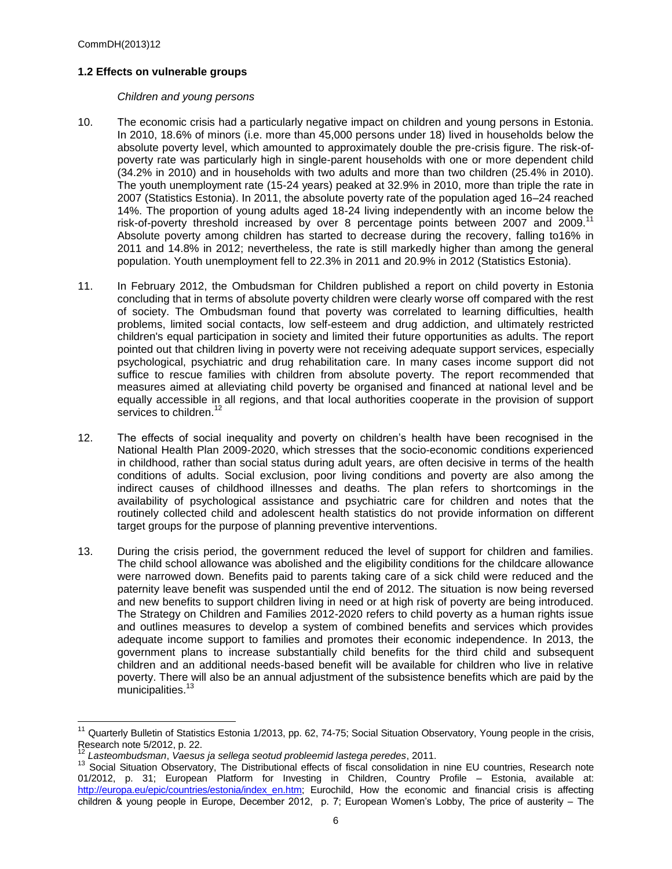## **1.2 Effects on vulnerable groups**

#### *Children and young persons*

- 10. The economic crisis had a particularly negative impact on children and young persons in Estonia. In 2010, 18.6% of minors (i.e. more than 45,000 persons under 18) lived in households below the absolute poverty level, which amounted to approximately double the pre-crisis figure. The risk-ofpoverty rate was particularly high in single-parent households with one or more dependent child (34.2% in 2010) and in households with two adults and more than two children (25.4% in 2010). The youth unemployment rate (15-24 years) peaked at 32.9% in 2010, more than triple the rate in 2007 (Statistics Estonia). In 2011, the absolute poverty rate of the population aged 16–24 reached 14%. The proportion of young adults aged 18-24 living independently with an income below the risk-of-poverty threshold increased by over 8 percentage points between 2007 and 2009.<sup>11</sup> Absolute poverty among children has started to decrease during the recovery, falling to16% in 2011 and 14.8% in 2012; nevertheless, the rate is still markedly higher than among the general population. Youth unemployment fell to 22.3% in 2011 and 20.9% in 2012 (Statistics Estonia).
- 11. In February 2012, the Ombudsman for Children published a report on child poverty in Estonia concluding that in terms of absolute poverty children were clearly worse off compared with the rest of society. The Ombudsman found that poverty was correlated to learning difficulties, health problems, limited social contacts, low self-esteem and drug addiction, and ultimately restricted children's equal participation in society and limited their future opportunities as adults. The report pointed out that children living in poverty were not receiving adequate support services, especially psychological, psychiatric and drug rehabilitation care. In many cases income support did not suffice to rescue families with children from absolute poverty. The report recommended that measures aimed at alleviating child poverty be organised and financed at national level and be equally accessible in all regions, and that local authorities cooperate in the provision of support services to children.<sup>12</sup>
- 12. The effects of social inequality and poverty on children's health have been recognised in the National Health Plan 2009-2020, which stresses that the socio-economic conditions experienced in childhood, rather than social status during adult years, are often decisive in terms of the health conditions of adults. Social exclusion, poor living conditions and poverty are also among the indirect causes of childhood illnesses and deaths. The plan refers to shortcomings in the availability of psychological assistance and psychiatric care for children and notes that the routinely collected child and adolescent health statistics do not provide information on different target groups for the purpose of planning preventive interventions.
- 13. During the crisis period, the government reduced the level of support for children and families. The child school allowance was abolished and the eligibility conditions for the childcare allowance were narrowed down. Benefits paid to parents taking care of a sick child were reduced and the paternity leave benefit was suspended until the end of 2012. The situation is now being reversed and new benefits to support children living in need or at high risk of poverty are being introduced. The Strategy on Children and Families 2012-2020 refers to child poverty as a human rights issue and outlines measures to develop a system of combined benefits and services which provides adequate income support to families and promotes their economic independence. In 2013, the government plans to increase substantially child benefits for the third child and subsequent children and an additional needs-based benefit will be available for children who live in relative poverty. There will also be an annual adjustment of the subsistence benefits which are paid by the municipalities.<sup>13</sup>

<sup>&</sup>lt;sup>11</sup> Quarterly Bulletin of Statistics Estonia 1/2013, pp. 62, 74-75; Social Situation Observatory, Young people in the crisis, Research note 5/2012, p. 22.

<sup>12</sup> *Lasteombudsman*, *Vaesus ja sellega seotud probleemid lastega peredes*, 2011.

<sup>&</sup>lt;sup>13</sup> Social Situation Observatory, The Distributional effects of fiscal consolidation in nine EU countries, Research note 01/2012, p. 31; European Platform for Investing in Children, Country Profile – Estonia, available at: [http://europa.eu/epic/countries/estonia/index\\_en.htm;](http://europa.eu/epic/countries/estonia/index_en.htm) Eurochild, How the economic and financial crisis is affecting children & young people in Europe, December 2012, p. 7; European Women's Lobby, The price of austerity – The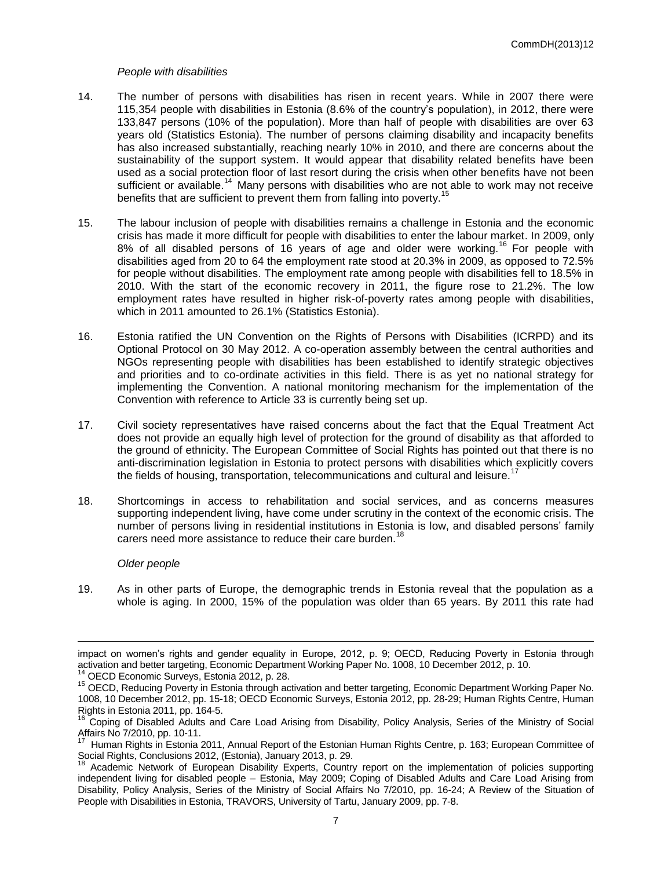#### *People with disabilities*

- 14. The number of persons with disabilities has risen in recent years. While in 2007 there were 115,354 people with disabilities in Estonia (8.6% of the country's population), in 2012, there were 133,847 persons (10% of the population). More than half of people with disabilities are over 63 years old (Statistics Estonia). The number of persons claiming disability and incapacity benefits has also increased substantially, reaching nearly 10% in 2010, and there are concerns about the sustainability of the support system. It would appear that disability related benefits have been used as a social protection floor of last resort during the crisis when other benefits have not been sufficient or available.<sup>14</sup> Many persons with disabilities who are not able to work may not receive benefits that are sufficient to prevent them from falling into poverty.<sup>1</sup>
- 15. The labour inclusion of people with disabilities remains a challenge in Estonia and the economic crisis has made it more difficult for people with disabilities to enter the labour market. In 2009, only 8% of all disabled persons of 16 years of age and older were working.<sup>16</sup> For people with disabilities aged from 20 to 64 the employment rate stood at 20.3% in 2009, as opposed to 72.5% for people without disabilities. The employment rate among people with disabilities fell to 18.5% in 2010. With the start of the economic recovery in 2011, the figure rose to 21.2%. The low employment rates have resulted in higher risk-of-poverty rates among people with disabilities, which in 2011 amounted to 26.1% (Statistics Estonia).
- 16. Estonia ratified the UN Convention on the Rights of Persons with Disabilities (ICRPD) and its Optional Protocol on 30 May 2012. A co-operation assembly between the central authorities and NGOs representing people with disabilities has been established to identify strategic objectives and priorities and to co-ordinate activities in this field. There is as yet no national strategy for implementing the Convention. A national monitoring mechanism for the implementation of the Convention with reference to Article 33 is currently being set up.
- 17. Civil society representatives have raised concerns about the fact that the Equal Treatment Act does not provide an equally high level of protection for the ground of disability as that afforded to the ground of ethnicity. The European Committee of Social Rights has pointed out that there is no anti-discrimination legislation in Estonia to protect persons with disabilities which explicitly covers the fields of housing, transportation, telecommunications and cultural and leisure.<sup>17</sup>
- 18. Shortcomings in access to rehabilitation and social services, and as concerns measures supporting independent living, have come under scrutiny in the context of the economic crisis. The number of persons living in residential institutions in Estonia is low, and disabled persons' family carers need more assistance to reduce their care burden.<sup>18</sup>

#### *Older people*

19. As in other parts of Europe, the demographic trends in Estonia reveal that the population as a whole is aging. In 2000, 15% of the population was older than 65 years. By 2011 this rate had

impact on women's rights and gender equality in Europe, 2012, p. 9; OECD, Reducing Poverty in Estonia through activation and better targeting, Economic Department Working Paper No. 1008, 10 December 2012, p. 10. <sup>14</sup> OECD Economic Surveys, Estonia 2012, p. 28.

<sup>&</sup>lt;sup>15</sup> OECD, Reducing Poverty in Estonia through activation and better targeting, Economic Department Working Paper No. 1008, 10 December 2012, pp. 15-18; OECD Economic Surveys, Estonia 2012, pp. 28-29; Human Rights Centre, Human

Rights in Estonia 2011, pp. 164-5. 16 Coping of Disabled Adults and Care Load Arising from Disability, Policy Analysis, Series of the Ministry of Social Affairs No 7/2010, pp. 10-11.

<sup>17</sup> Human Rights in Estonia 2011, Annual Report of the Estonian Human Rights Centre, p. 163; European Committee of Social Rights, Conclusions 2012, (Estonia), January 2013, p. 29.

<sup>&</sup>lt;sup>18</sup> Academic Network of European Disability Experts, Country report on the implementation of policies supporting independent living for disabled people – Estonia, May 2009; Coping of Disabled Adults and Care Load Arising from Disability, Policy Analysis, Series of the Ministry of Social Affairs No 7/2010, pp. 16-24; A Review of the Situation of People with Disabilities in Estonia, TRAVORS, University of Tartu, January 2009, pp. 7-8.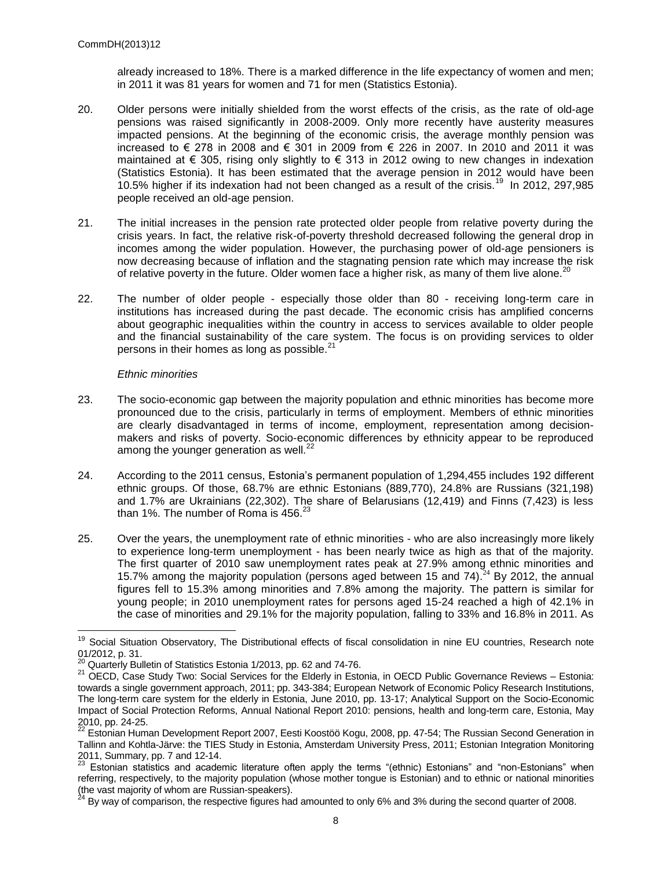already increased to 18%. There is a marked difference in the life expectancy of women and men; in 2011 it was 81 years for women and 71 for men (Statistics Estonia).

- 20. Older persons were initially shielded from the worst effects of the crisis, as the rate of old-age pensions was raised significantly in 2008-2009. Only more recently have austerity measures impacted pensions. At the beginning of the economic crisis, the average monthly pension was increased to € 278 in 2008 and € 301 in 2009 from € 226 in 2007. In 2010 and 2011 it was maintained at  $\epsilon$  305, rising only slightly to  $\epsilon$  313 in 2012 owing to new changes in indexation (Statistics Estonia). It has been estimated that the average pension in 2012 would have been 10.5% higher if its indexation had not been changed as a result of the crisis.<sup>19</sup> In 2012, 297,985 people received an old-age pension.
- 21. The initial increases in the pension rate protected older people from relative poverty during the crisis years. In fact, the relative risk-of-poverty threshold decreased following the general drop in incomes among the wider population. However, the purchasing power of old-age pensioners is now decreasing because of inflation and the stagnating pension rate which may increase the risk of relative poverty in the future. Older women face a higher risk, as many of them live alone.
- 22. The number of older people especially those older than 80 receiving long-term care in institutions has increased during the past decade. The economic crisis has amplified concerns about geographic inequalities within the country in access to services available to older people and the financial sustainability of the care system. The focus is on providing services to older persons in their homes as long as possible.<sup>2</sup>

#### *Ethnic minorities*

- 23. The socio-economic gap between the majority population and ethnic minorities has become more pronounced due to the crisis, particularly in terms of employment. Members of ethnic minorities are clearly disadvantaged in terms of income, employment, representation among decisionmakers and risks of poverty. Socio-economic differences by ethnicity appear to be reproduced among the younger generation as well. $^{22}$
- 24. According to the 2011 census, Estonia's permanent population of 1,294,455 includes 192 different ethnic groups. Of those, 68.7% are ethnic Estonians (889,770), 24.8% are Russians (321,198) and 1.7% are Ukrainians (22,302). The share of Belarusians (12,419) and Finns (7,423) is less than 1%. The number of Roma is  $456.<sup>23</sup>$
- 25. Over the years, the unemployment rate of ethnic minorities who are also increasingly more likely to experience long-term unemployment - has been nearly twice as high as that of the majority. The first quarter of 2010 saw unemployment rates peak at 27.9% among ethnic minorities and 15.7% among the majority population (persons aged between 15 and 74).<sup>24</sup> By 2012, the annual figures fell to 15.3% among minorities and 7.8% among the majority. The pattern is similar for young people; in 2010 unemployment rates for persons aged 15-24 reached a high of 42.1% in the case of minorities and 29.1% for the majority population, falling to 33% and 16.8% in 2011. As

<sup>&</sup>lt;sup>19</sup> Social Situation Observatory, The Distributional effects of fiscal consolidation in nine EU countries, Research note 01/2012, p. 31.

 $^{20}$  Quarterly Bulletin of Statistics Estonia 1/2013, pp. 62 and 74-76.

<sup>&</sup>lt;sup>21</sup> OECD, Case Study Two: Social Services for the Elderly in Estonia, in OECD Public Governance Reviews – Estonia: towards a single government approach, 2011; pp. 343-384; European Network of Economic Policy Research Institutions, The long-term care system for the elderly in Estonia, June 2010, pp. 13-17; Analytical Support on the Socio-Economic Impact of Social Protection Reforms, Annual National Report 2010: pensions, health and long-term care, Estonia, May 2010, pp. 24-25.

<sup>&</sup>lt;sup>22</sup> Estonian Human Development Report 2007, Eesti Koostöö Kogu, 2008, pp. 47-54; The Russian Second Generation in Tallinn and Kohtla-Järve: the TIES Study in Estonia, Amsterdam University Press, 2011; Estonian Integration Monitoring 2011, Summary, pp. 7 and 12-14.

<sup>&</sup>lt;sup>23</sup> Estonian statistics and academic literature often apply the terms "(ethnic) Estonians" and "non-Estonians" when referring, respectively, to the majority population (whose mother tongue is Estonian) and to ethnic or national minorities (the vast majority of whom are Russian-speakers).

 $^4$  By way of comparison, the respective figures had amounted to only 6% and 3% during the second quarter of 2008.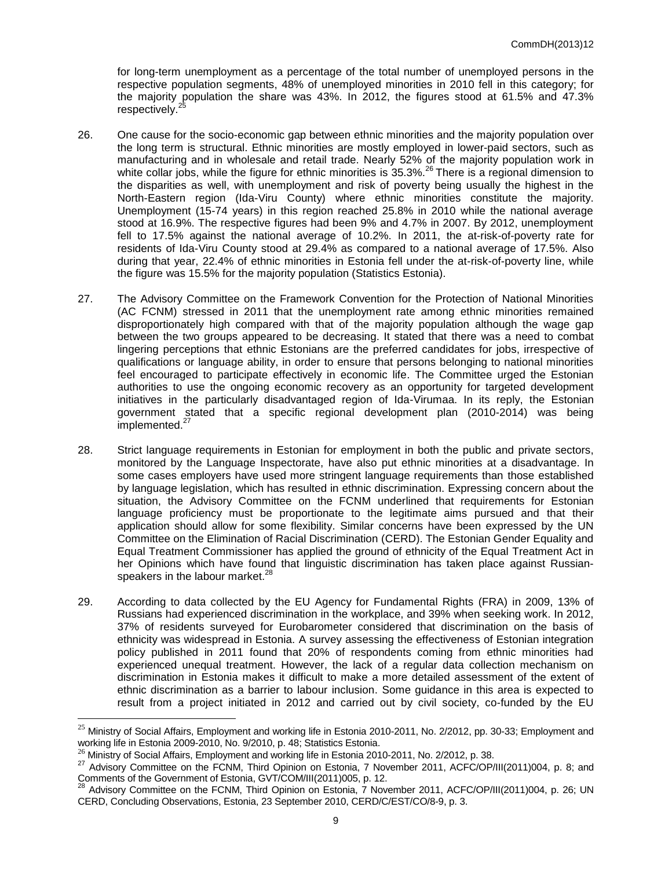for long-term unemployment as a percentage of the total number of unemployed persons in the respective population segments, 48% of unemployed minorities in 2010 fell in this category; for the majority population the share was 43%. In 2012, the figures stood at 61.5% and 47.3% respectively.<sup>25</sup>

- 26. One cause for the socio-economic gap between ethnic minorities and the majority population over the long term is structural. Ethnic minorities are mostly employed in lower-paid sectors, such as manufacturing and in wholesale and retail trade. Nearly 52% of the majority population work in white collar jobs, while the figure for ethnic minorities is 35.3%.<sup>26</sup> There is a regional dimension to the disparities as well, with unemployment and risk of poverty being usually the highest in the North-Eastern region (Ida-Viru County) where ethnic minorities constitute the majority. Unemployment (15-74 years) in this region reached 25.8% in 2010 while the national average stood at 16.9%. The respective figures had been 9% and 4.7% in 2007. By 2012, unemployment fell to 17.5% against the national average of 10.2%. In 2011, the at-risk-of-poverty rate for residents of Ida-Viru County stood at 29.4% as compared to a national average of 17.5%. Also during that year, 22.4% of ethnic minorities in Estonia fell under the at-risk-of-poverty line, while the figure was 15.5% for the majority population (Statistics Estonia).
- 27. The Advisory Committee on the Framework Convention for the Protection of National Minorities (AC FCNM) stressed in 2011 that the unemployment rate among ethnic minorities remained disproportionately high compared with that of the majority population although the wage gap between the two groups appeared to be decreasing. It stated that there was a need to combat lingering perceptions that ethnic Estonians are the preferred candidates for jobs, irrespective of qualifications or language ability, in order to ensure that persons belonging to national minorities feel encouraged to participate effectively in economic life. The Committee urged the Estonian authorities to use the ongoing economic recovery as an opportunity for targeted development initiatives in the particularly disadvantaged region of Ida-Virumaa. In its reply, the Estonian government stated that a specific regional development plan (2010-2014) was being implemented.<sup>2</sup>
- 28. Strict language requirements in Estonian for employment in both the public and private sectors, monitored by the Language Inspectorate, have also put ethnic minorities at a disadvantage. In some cases employers have used more stringent language requirements than those established by language legislation, which has resulted in ethnic discrimination. Expressing concern about the situation, the Advisory Committee on the FCNM underlined that requirements for Estonian language proficiency must be proportionate to the legitimate aims pursued and that their application should allow for some flexibility. Similar concerns have been expressed by the UN Committee on the Elimination of Racial Discrimination (CERD). The Estonian Gender Equality and Equal Treatment Commissioner has applied the ground of ethnicity of the Equal Treatment Act in her Opinions which have found that linguistic discrimination has taken place against Russianspeakers in the labour market.<sup>28</sup>
- 29. According to data collected by the EU Agency for Fundamental Rights (FRA) in 2009, 13% of Russians had experienced discrimination in the workplace, and 39% when seeking work. In 2012, 37% of residents surveyed for Eurobarometer considered that discrimination on the basis of ethnicity was widespread in Estonia. A survey assessing the effectiveness of Estonian integration policy published in 2011 found that 20% of respondents coming from ethnic minorities had experienced unequal treatment. However, the lack of a regular data collection mechanism on discrimination in Estonia makes it difficult to make a more detailed assessment of the extent of ethnic discrimination as a barrier to labour inclusion. Some guidance in this area is expected to result from a project initiated in 2012 and carried out by civil society, co-funded by the EU

<sup>&</sup>lt;sup>25</sup> Ministry of Social Affairs, Employment and working life in Estonia 2010-2011, No. 2/2012, pp. 30-33; Employment and working life in Estonia 2009-2010, No. 9/2010, p. 48; Statistics Estonia.

 $^{26}$  Ministry of Social Affairs, Employment and working life in Estonia 2010-2011, No. 2/2012, p. 38.

<sup>&</sup>lt;sup>27</sup> Advisory Committee on the FCNM, Third Opinion on Estonia, 7 November 2011, ACFC/OP/III(2011)004, p. 8; and Comments of the Government of Estonia, GVT/COM/III(2011)005, p. 12.

<sup>28</sup> Advisory Committee on the FCNM, Third Opinion on Estonia, 7 November 2011, ACFC/OP/III(2011)004, p. 26; UN CERD, Concluding Observations, Estonia, 23 September 2010, CERD/C/EST/CO/8-9, p. 3.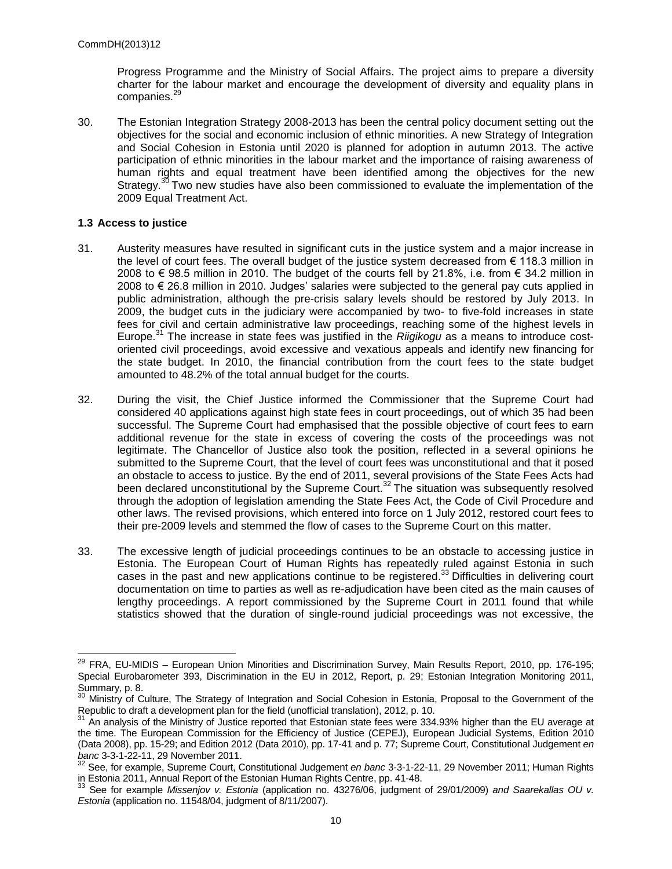Progress Programme and the Ministry of Social Affairs. The project aims to prepare a diversity charter for the labour market and encourage the development of diversity and equality plans in companies.<sup>29</sup>

30. The Estonian Integration Strategy 2008-2013 has been the central policy document setting out the objectives for the social and economic inclusion of ethnic minorities. A new Strategy of Integration and Social Cohesion in Estonia until 2020 is planned for adoption in autumn 2013. The active participation of ethnic minorities in the labour market and the importance of raising awareness of human rights and equal treatment have been identified among the objectives for the new Strategy.<sup>30</sup> Two new studies have also been commissioned to evaluate the implementation of the 2009 Equal Treatment Act.

## **1.3 Access to justice**

- 31. Austerity measures have resulted in significant cuts in the justice system and a major increase in the level of court fees. The overall budget of the justice system decreased from  $\epsilon$  118.3 million in 2008 to € 98.5 million in 2010. The budget of the courts fell by 21.8%, i.e. from € 34.2 million in 2008 to € 26.8 million in 2010. Judges' salaries were subjected to the general pay cuts applied in public administration, although the pre-crisis salary levels should be restored by July 2013. In 2009, the budget cuts in the judiciary were accompanied by two- to five-fold increases in state fees for civil and certain administrative law proceedings, reaching some of the highest levels in Europe.<sup>31</sup> The increase in state fees was justified in the *Riigikogu* as a means to introduce costoriented civil proceedings, avoid excessive and vexatious appeals and identify new financing for the state budget. In 2010, the financial contribution from the court fees to the state budget amounted to 48.2% of the total annual budget for the courts.
- 32. During the visit, the Chief Justice informed the Commissioner that the Supreme Court had considered 40 applications against high state fees in court proceedings, out of which 35 had been successful. The Supreme Court had emphasised that the possible objective of court fees to earn additional revenue for the state in excess of covering the costs of the proceedings was not legitimate. The Chancellor of Justice also took the position, reflected in a several opinions he submitted to the Supreme Court, that the level of court fees was unconstitutional and that it posed an obstacle to access to justice. By the end of 2011, several provisions of the State Fees Acts had been declared unconstitutional by the Supreme Court.<sup>32</sup> The situation was subsequently resolved through the adoption of legislation amending the State Fees Act, the Code of Civil Procedure and other laws. The revised provisions, which entered into force on 1 July 2012, restored court fees to their pre-2009 levels and stemmed the flow of cases to the Supreme Court on this matter.
- 33. The excessive length of judicial proceedings continues to be an obstacle to accessing justice in Estonia. The European Court of Human Rights has repeatedly ruled against Estonia in such cases in the past and new applications continue to be registered.<sup>33</sup> Difficulties in delivering court documentation on time to parties as well as re-adjudication have been cited as the main causes of lengthy proceedings. A report commissioned by the Supreme Court in 2011 found that while statistics showed that the duration of single-round judicial proceedings was not excessive, the

<sup>&</sup>lt;sup>29</sup> FRA, EU-MIDIS – European Union Minorities and Discrimination Survey, Main Results Report, 2010, pp. 176-195; Special Eurobarometer 393, Discrimination in the EU in 2012, Report, p. 29; Estonian Integration Monitoring 2011, Summary, p. 8.

<sup>30</sup> Ministry of Culture, The Strategy of Integration and Social Cohesion in Estonia, Proposal to the Government of the Republic to draft a development plan for the field (unofficial translation), 2012, p. 10.

<sup>31</sup> An analysis of the Ministry of Justice reported that Estonian state fees were 334.93% higher than the EU average at the time. The European Commission for the Efficiency of Justice (CEPEJ), European Judicial Systems, Edition 2010 (Data 2008), pp. 15-29; and Edition 2012 (Data 2010), pp. 17-41 and p. 77; Supreme Court, Constitutional Judgement *en banc* 3-3-1-22-11, 29 November 2011.

<sup>32</sup> See, for example, Supreme Court, Constitutional Judgement *en banc* 3-3-1-22-11, 29 November 2011; Human Rights in Estonia 2011, Annual Report of the Estonian Human Rights Centre, pp. 41-48.

<sup>33</sup> See for example *Missenjov v. Estonia* (application no. 43276/06, judgment of 29/01/2009) *and Saarekallas OU v. Estonia* (application no. 11548/04, judgment of 8/11/2007).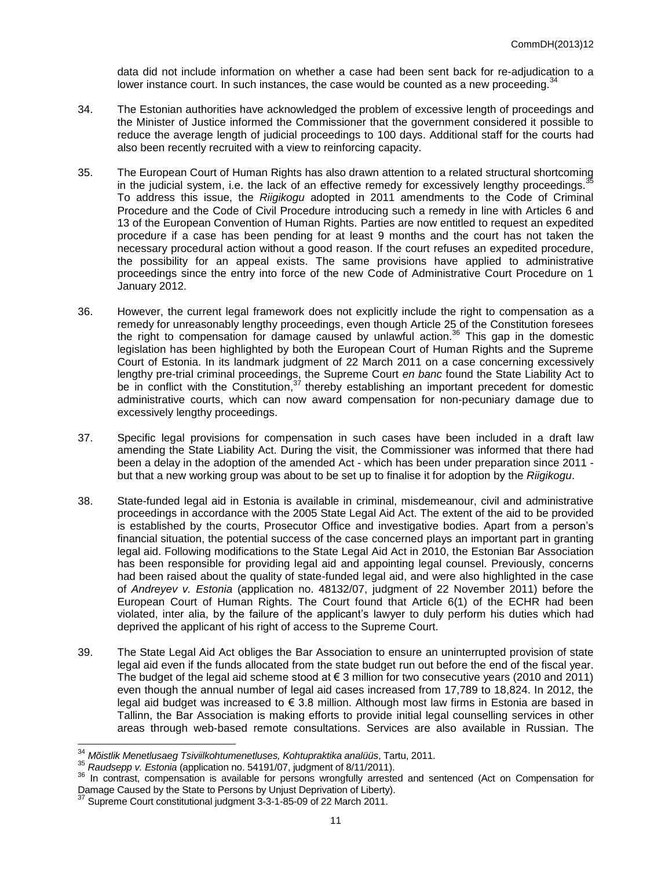data did not include information on whether a case had been sent back for re-adjudication to a lower instance court. In such instances, the case would be counted as a new proceeding.<sup>34</sup>

- 34. The Estonian authorities have acknowledged the problem of excessive length of proceedings and the Minister of Justice informed the Commissioner that the government considered it possible to reduce the average length of judicial proceedings to 100 days. Additional staff for the courts had also been recently recruited with a view to reinforcing capacity.
- 35. The European Court of Human Rights has also drawn attention to a related structural shortcoming in the judicial system, i.e. the lack of an effective remedy for excessively lengthy proceedings. To address this issue, the *Riigikogu* adopted in 2011 amendments to the Code of Criminal Procedure and the Code of Civil Procedure introducing such a remedy in line with Articles 6 and 13 of the European Convention of Human Rights. Parties are now entitled to request an expedited procedure if a case has been pending for at least 9 months and the court has not taken the necessary procedural action without a good reason. If the court refuses an expedited procedure, the possibility for an appeal exists. The same provisions have applied to administrative proceedings since the entry into force of the new Code of Administrative Court Procedure on 1 January 2012.
- 36. However, the current legal framework does not explicitly include the right to compensation as a remedy for unreasonably lengthy proceedings, even though Article 25 of the Constitution foresees the right to compensation for damage caused by unlawful action.<sup>36</sup> This gap in the domestic legislation has been highlighted by both the European Court of Human Rights and the Supreme Court of Estonia. In its landmark judgment of 22 March 2011 on a case concerning excessively lengthy pre-trial criminal proceedings, the Supreme Court *en banc* found the State Liability Act to be in conflict with the Constitution,  $37$  thereby establishing an important precedent for domestic administrative courts, which can now award compensation for non-pecuniary damage due to excessively lengthy proceedings.
- 37. Specific legal provisions for compensation in such cases have been included in a draft law amending the State Liability Act. During the visit, the Commissioner was informed that there had been a delay in the adoption of the amended Act - which has been under preparation since 2011 but that a new working group was about to be set up to finalise it for adoption by the *Riigikogu*.
- 38. State-funded legal aid in Estonia is available in criminal, misdemeanour, civil and administrative proceedings in accordance with the 2005 State Legal Aid Act. The extent of the aid to be provided is established by the courts, Prosecutor Office and investigative bodies. Apart from a person's financial situation, the potential success of the case concerned plays an important part in granting legal aid. Following modifications to the State Legal Aid Act in 2010, the Estonian Bar Association has been responsible for providing legal aid and appointing legal counsel. Previously, concerns had been raised about the quality of state-funded legal aid, and were also highlighted in the case of *Andreyev v. Estonia* (application no. 48132/07, judgment of 22 November 2011) before the European Court of Human Rights. The Court found that Article 6(1) of the ECHR had been violated, inter alia, by the failure of the applicant's lawyer to duly perform his duties which had deprived the applicant of his right of access to the Supreme Court.
- 39. The State Legal Aid Act obliges the Bar Association to ensure an uninterrupted provision of state legal aid even if the funds allocated from the state budget run out before the end of the fiscal year. The budget of the legal aid scheme stood at  $\epsilon$  3 million for two consecutive years (2010 and 2011) even though the annual number of legal aid cases increased from 17,789 to 18,824. In 2012, the legal aid budget was increased to € 3.8 million. Although most law firms in Estonia are based in Tallinn, the Bar Association is making efforts to provide initial legal counselling services in other areas through web-based remote consultations. Services are also available in Russian. The

<sup>34</sup> *Mõistlik Menetlusaeg Tsiviilkohtumenetluses, Kohtupraktika analüüs*, Tartu, 2011.

<sup>35</sup> *Raudsepp v. Estonia* (application no. 54191/07, judgment of 8/11/2011).

<sup>&</sup>lt;sup>36</sup> In contrast, compensation is available for persons wrongfully arrested and sentenced (Act on Compensation for Damage Caused by the State to Persons by Unjust Deprivation of Liberty).

Supreme Court constitutional judgment 3-3-1-85-09 of 22 March 2011.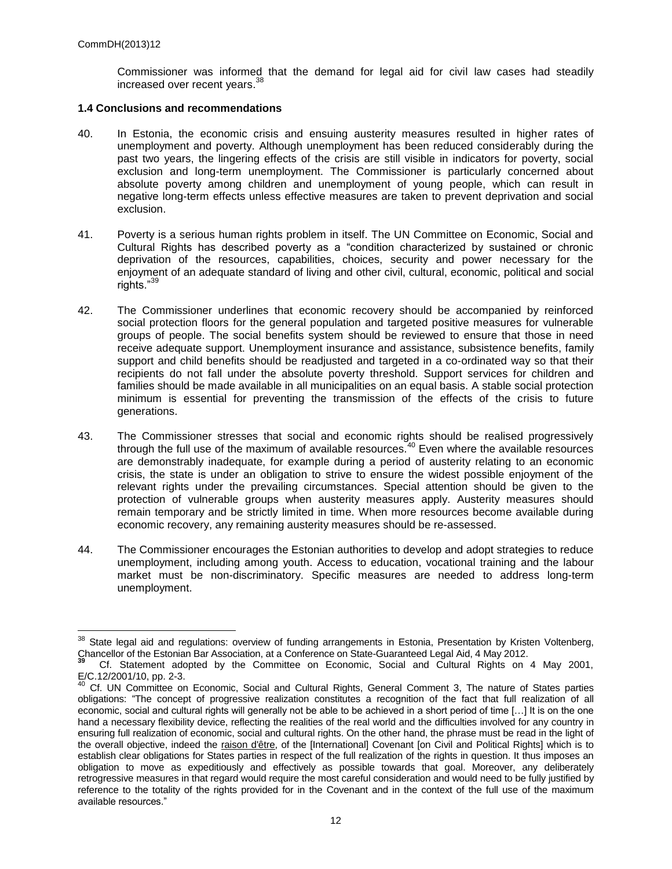Commissioner was informed that the demand for legal aid for civil law cases had steadily increased over recent years.<sup>38</sup>

#### **1.4 Conclusions and recommendations**

- 40. In Estonia, the economic crisis and ensuing austerity measures resulted in higher rates of unemployment and poverty. Although unemployment has been reduced considerably during the past two years, the lingering effects of the crisis are still visible in indicators for poverty, social exclusion and long-term unemployment. The Commissioner is particularly concerned about absolute poverty among children and unemployment of young people, which can result in negative long-term effects unless effective measures are taken to prevent deprivation and social exclusion.
- 41. Poverty is a serious human rights problem in itself. The UN Committee on Economic, Social and Cultural Rights has described poverty as a "condition characterized by sustained or chronic deprivation of the resources, capabilities, choices, security and power necessary for the enjoyment of an adequate standard of living and other civil, cultural, economic, political and social rights."<sup>3</sup>
- 42. The Commissioner underlines that economic recovery should be accompanied by reinforced social protection floors for the general population and targeted positive measures for vulnerable groups of people. The social benefits system should be reviewed to ensure that those in need receive adequate support. Unemployment insurance and assistance, subsistence benefits, family support and child benefits should be readjusted and targeted in a co-ordinated way so that their recipients do not fall under the absolute poverty threshold. Support services for children and families should be made available in all municipalities on an equal basis. A stable social protection minimum is essential for preventing the transmission of the effects of the crisis to future generations.
- 43. The Commissioner stresses that social and economic rights should be realised progressively through the full use of the maximum of available resources.<sup>40</sup> Even where the available resources are demonstrably inadequate, for example during a period of austerity relating to an economic crisis, the state is under an obligation to strive to ensure the widest possible enjoyment of the relevant rights under the prevailing circumstances. Special attention should be given to the protection of vulnerable groups when austerity measures apply. Austerity measures should remain temporary and be strictly limited in time. When more resources become available during economic recovery, any remaining austerity measures should be re-assessed.
- 44. The Commissioner encourages the Estonian authorities to develop and adopt strategies to reduce unemployment, including among youth. Access to education, vocational training and the labour market must be non-discriminatory. Specific measures are needed to address long-term unemployment.

 $38$  State legal aid and regulations: overview of funding arrangements in Estonia, Presentation by Kristen Voltenberg, Chancellor of the Estonian Bar Association, at a Conference on State-Guaranteed Legal Aid, 4 May 2012. **39**

Cf. Statement adopted by the Committee on Economic, Social and Cultural Rights on 4 May 2001, E/C.12/2001/10, pp. 2-3.

<sup>&</sup>lt;sup>40</sup> Cf. UN Committee on Economic, Social and Cultural Rights, General Comment 3, The nature of States parties obligations: "The concept of progressive realization constitutes a recognition of the fact that full realization of all economic, social and cultural rights will generally not be able to be achieved in a short period of time […] It is on the one hand a necessary flexibility device, reflecting the realities of the real world and the difficulties involved for any country in ensuring full realization of economic, social and cultural rights. On the other hand, the phrase must be read in the light of the overall objective, indeed the raison d'être, of the [International] Covenant [on Civil and Political Rights] which is to establish clear obligations for States parties in respect of the full realization of the rights in question. It thus imposes an obligation to move as expeditiously and effectively as possible towards that goal. Moreover, any deliberately retrogressive measures in that regard would require the most careful consideration and would need to be fully justified by reference to the totality of the rights provided for in the Covenant and in the context of the full use of the maximum available resources."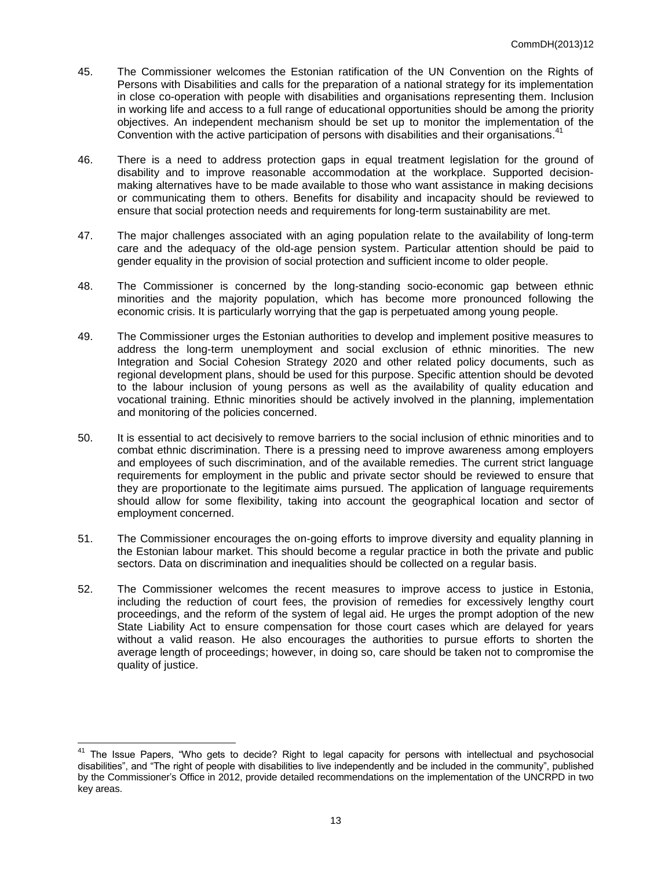- 45. The Commissioner welcomes the Estonian ratification of the UN Convention on the Rights of Persons with Disabilities and calls for the preparation of a national strategy for its implementation in close co-operation with people with disabilities and organisations representing them. Inclusion in working life and access to a full range of educational opportunities should be among the priority objectives. An independent mechanism should be set up to monitor the implementation of the Convention with the active participation of persons with disabilities and their organisations.<sup>41</sup>
- 46. There is a need to address protection gaps in equal treatment legislation for the ground of disability and to improve reasonable accommodation at the workplace. Supported decisionmaking alternatives have to be made available to those who want assistance in making decisions or communicating them to others. Benefits for disability and incapacity should be reviewed to ensure that social protection needs and requirements for long-term sustainability are met.
- 47. The major challenges associated with an aging population relate to the availability of long-term care and the adequacy of the old-age pension system. Particular attention should be paid to gender equality in the provision of social protection and sufficient income to older people.
- 48. The Commissioner is concerned by the long-standing socio-economic gap between ethnic minorities and the majority population, which has become more pronounced following the economic crisis. It is particularly worrying that the gap is perpetuated among young people.
- 49. The Commissioner urges the Estonian authorities to develop and implement positive measures to address the long-term unemployment and social exclusion of ethnic minorities. The new Integration and Social Cohesion Strategy 2020 and other related policy documents, such as regional development plans, should be used for this purpose. Specific attention should be devoted to the labour inclusion of young persons as well as the availability of quality education and vocational training. Ethnic minorities should be actively involved in the planning, implementation and monitoring of the policies concerned.
- 50. It is essential to act decisively to remove barriers to the social inclusion of ethnic minorities and to combat ethnic discrimination. There is a pressing need to improve awareness among employers and employees of such discrimination, and of the available remedies. The current strict language requirements for employment in the public and private sector should be reviewed to ensure that they are proportionate to the legitimate aims pursued. The application of language requirements should allow for some flexibility, taking into account the geographical location and sector of employment concerned.
- 51. The Commissioner encourages the on-going efforts to improve diversity and equality planning in the Estonian labour market. This should become a regular practice in both the private and public sectors. Data on discrimination and inequalities should be collected on a regular basis.
- 52. The Commissioner welcomes the recent measures to improve access to justice in Estonia, including the reduction of court fees, the provision of remedies for excessively lengthy court proceedings, and the reform of the system of legal aid. He urges the prompt adoption of the new State Liability Act to ensure compensation for those court cases which are delayed for years without a valid reason. He also encourages the authorities to pursue efforts to shorten the average length of proceedings; however, in doing so, care should be taken not to compromise the quality of justice.

<sup>&</sup>lt;sup>41</sup> The Issue Papers, "Who gets to decide? Right to legal capacity for persons with intellectual and psychosocial disabilities", and "The right of people with disabilities to live independently and be included in the community", published by the Commissioner's Office in 2012, provide detailed recommendations on the implementation of the UNCRPD in two key areas.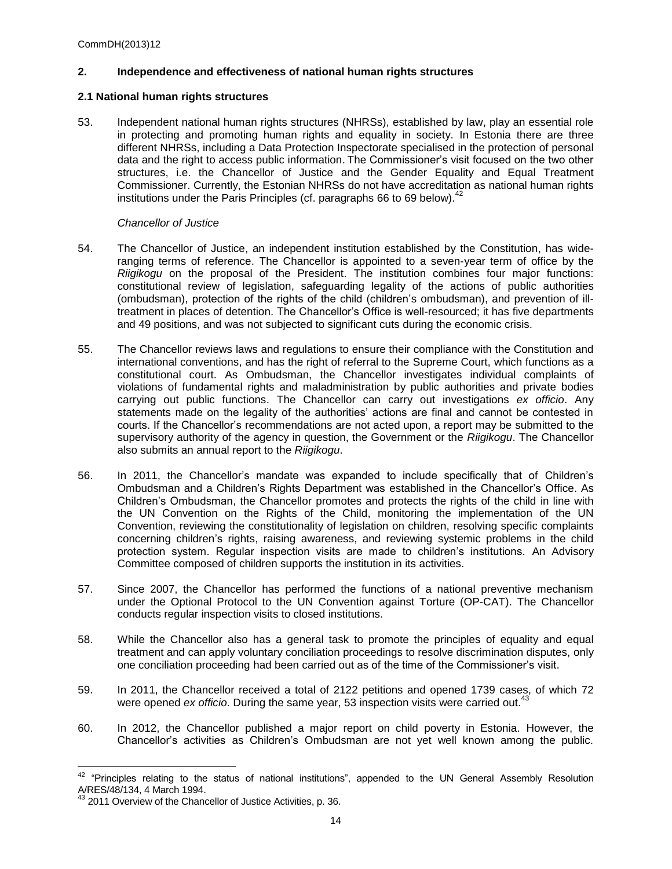## **2. Independence and effectiveness of national human rights structures**

## **2.1 National human rights structures**

53. Independent national human rights structures (NHRSs), established by law, play an essential role in protecting and promoting human rights and equality in society. In Estonia there are three different NHRSs, including a Data Protection Inspectorate specialised in the protection of personal data and the right to access public information. The Commissioner's visit focused on the two other structures, i.e. the Chancellor of Justice and the Gender Equality and Equal Treatment Commissioner. Currently, the Estonian NHRSs do not have accreditation as national human rights institutions under the Paris Principles (cf. paragraphs 66 to 69 below).<sup>42</sup>

## *Chancellor of Justice*

- 54. The Chancellor of Justice, an independent institution established by the Constitution, has wideranging terms of reference. The Chancellor is appointed to a seven-year term of office by the *Riigikogu* on the proposal of the President. The institution combines four major functions: constitutional review of legislation, safeguarding legality of the actions of public authorities (ombudsman), protection of the rights of the child (children's ombudsman), and prevention of illtreatment in places of detention. The Chancellor's Office is well-resourced; it has five departments and 49 positions, and was not subjected to significant cuts during the economic crisis.
- 55. The Chancellor reviews laws and regulations to ensure their compliance with the Constitution and international conventions, and has the right of referral to the Supreme Court, which functions as a constitutional court. As Ombudsman, the Chancellor investigates individual complaints of violations of fundamental rights and maladministration by public authorities and private bodies carrying out public functions. The Chancellor can carry out investigations *ex officio*. Any statements made on the legality of the authorities' actions are final and cannot be contested in courts. If the Chancellor's recommendations are not acted upon, a report may be submitted to the supervisory authority of the agency in question, the Government or the *Riigikogu*. The Chancellor also submits an annual report to the *Riigikogu*.
- 56. In 2011, the Chancellor's mandate was expanded to include specifically that of Children's Ombudsman and a Children's Rights Department was established in the Chancellor's Office. As Children's Ombudsman, the Chancellor promotes and protects the rights of the child in line with the UN Convention on the Rights of the Child, monitoring the implementation of the UN Convention, reviewing the constitutionality of legislation on children, resolving specific complaints concerning children's rights, raising awareness, and reviewing systemic problems in the child protection system. Regular inspection visits are made to children's institutions. An Advisory Committee composed of children supports the institution in its activities.
- 57. Since 2007, the Chancellor has performed the functions of a national preventive mechanism under the Optional Protocol to the UN Convention against Torture (OP-CAT). The Chancellor conducts regular inspection visits to closed institutions.
- 58. While the Chancellor also has a general task to promote the principles of equality and equal treatment and can apply voluntary conciliation proceedings to resolve discrimination disputes, only one conciliation proceeding had been carried out as of the time of the Commissioner's visit.
- 59. In 2011, the Chancellor received a total of 2122 petitions and opened 1739 cases, of which 72 were opened *ex officio*. During the same year, 53 inspection visits were carried out.<sup>43</sup>
- 60. In 2012, the Chancellor published a major report on child poverty in Estonia. However, the Chancellor's activities as Children's Ombudsman are not yet well known among the public.

  $42$  "Principles relating to the status of national institutions", appended to the UN General Assembly Resolution A/RES/48/134, 4 March 1994.

<sup>&</sup>lt;sup>43</sup> 2011 Overview of the Chancellor of Justice Activities, p. 36.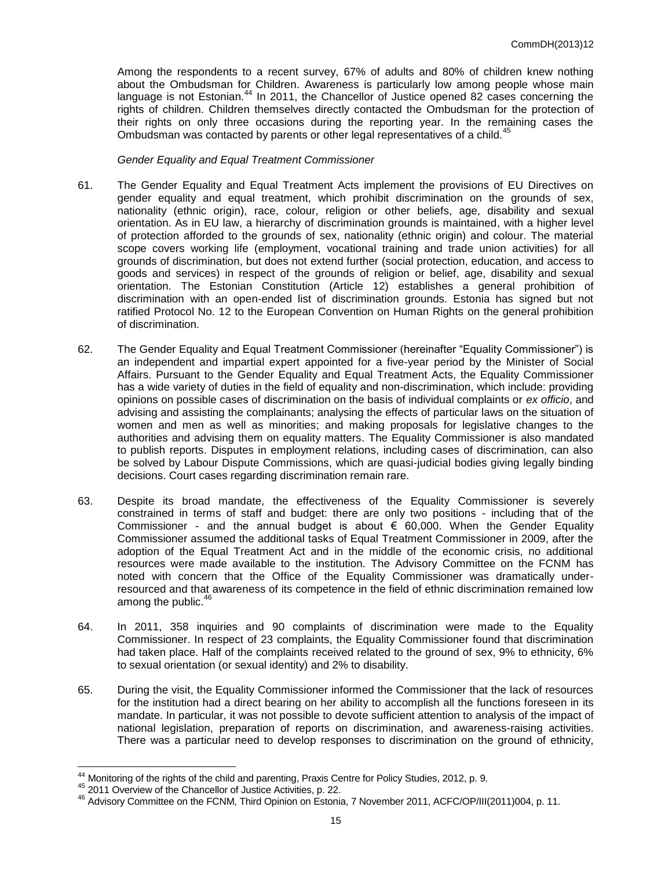Among the respondents to a recent survey, 67% of adults and 80% of children knew nothing about the Ombudsman for Children. Awareness is particularly low among people whose main language is not Estonian.<sup>44</sup> In 2011, the Chancellor of Justice opened 82 cases concerning the rights of children. Children themselves directly contacted the Ombudsman for the protection of their rights on only three occasions during the reporting year. In the remaining cases the Ombudsman was contacted by parents or other legal representatives of a child.<sup>45</sup>

## *Gender Equality and Equal Treatment Commissioner*

- 61. The Gender Equality and Equal Treatment Acts implement the provisions of EU Directives on gender equality and equal treatment, which prohibit discrimination on the grounds of sex, nationality (ethnic origin), race, colour, religion or other beliefs, age, disability and sexual orientation. As in EU law, a hierarchy of discrimination grounds is maintained, with a higher level of protection afforded to the grounds of sex, nationality (ethnic origin) and colour. The material scope covers working life (employment, vocational training and trade union activities) for all grounds of discrimination, but does not extend further (social protection, education, and access to goods and services) in respect of the grounds of religion or belief, age, disability and sexual orientation. The Estonian Constitution (Article 12) establishes a general prohibition of discrimination with an open-ended list of discrimination grounds. Estonia has signed but not ratified Protocol No. 12 to the European Convention on Human Rights on the general prohibition of discrimination.
- 62. The Gender Equality and Equal Treatment Commissioner (hereinafter "Equality Commissioner") is an independent and impartial expert appointed for a five-year period by the Minister of Social Affairs. Pursuant to the Gender Equality and Equal Treatment Acts, the Equality Commissioner has a wide variety of duties in the field of equality and non-discrimination, which include: providing opinions on possible cases of discrimination on the basis of individual complaints or *ex officio*, and advising and assisting the complainants; analysing the effects of particular laws on the situation of women and men as well as minorities; and making proposals for legislative changes to the authorities and advising them on equality matters. The Equality Commissioner is also mandated to publish reports. Disputes in employment relations, including cases of discrimination, can also be solved by Labour Dispute Commissions, which are quasi-judicial bodies giving legally binding decisions. Court cases regarding discrimination remain rare.
- 63. Despite its broad mandate, the effectiveness of the Equality Commissioner is severely constrained in terms of staff and budget: there are only two positions - including that of the Commissioner - and the annual budget is about  $\epsilon$  60,000. When the Gender Equality Commissioner assumed the additional tasks of Equal Treatment Commissioner in 2009, after the adoption of the Equal Treatment Act and in the middle of the economic crisis, no additional resources were made available to the institution. The Advisory Committee on the FCNM has noted with concern that the Office of the Equality Commissioner was dramatically underresourced and that awareness of its competence in the field of ethnic discrimination remained low among the public.<sup>46</sup>
- 64. In 2011, 358 inquiries and 90 complaints of discrimination were made to the Equality Commissioner. In respect of 23 complaints, the Equality Commissioner found that discrimination had taken place. Half of the complaints received related to the ground of sex, 9% to ethnicity, 6% to sexual orientation (or sexual identity) and 2% to disability.
- 65. During the visit, the Equality Commissioner informed the Commissioner that the lack of resources for the institution had a direct bearing on her ability to accomplish all the functions foreseen in its mandate. In particular, it was not possible to devote sufficient attention to analysis of the impact of national legislation, preparation of reports on discrimination, and awareness-raising activities. There was a particular need to develop responses to discrimination on the ground of ethnicity,

  $44$  Monitoring of the rights of the child and parenting, Praxis Centre for Policy Studies, 2012, p. 9.

<sup>45</sup> 2011 Overview of the Chancellor of Justice Activities, p. 22.

<sup>&</sup>lt;sup>46</sup> Advisory Committee on the FCNM, Third Opinion on Estonia, 7 November 2011, ACFC/OP/III(2011)004, p. 11.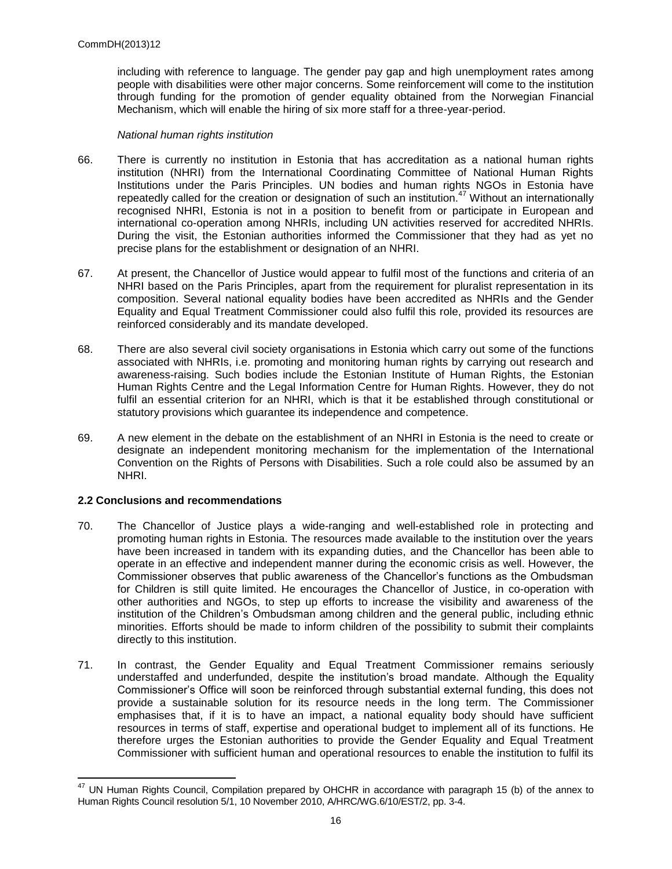including with reference to language. The gender pay gap and high unemployment rates among people with disabilities were other major concerns. Some reinforcement will come to the institution through funding for the promotion of gender equality obtained from the Norwegian Financial Mechanism, which will enable the hiring of six more staff for a three-year-period.

## *National human rights institution*

- 66. There is currently no institution in Estonia that has accreditation as a national human rights institution (NHRI) from the International Coordinating Committee of National Human Rights Institutions under the Paris Principles. UN bodies and human rights NGOs in Estonia have repeatedly called for the creation or designation of such an institution.<sup>47</sup> Without an internationally recognised NHRI, Estonia is not in a position to benefit from or participate in European and international co-operation among NHRIs, including UN activities reserved for accredited NHRIs. During the visit, the Estonian authorities informed the Commissioner that they had as yet no precise plans for the establishment or designation of an NHRI.
- 67. At present, the Chancellor of Justice would appear to fulfil most of the functions and criteria of an NHRI based on the Paris Principles, apart from the requirement for pluralist representation in its composition. Several national equality bodies have been accredited as NHRIs and the Gender Equality and Equal Treatment Commissioner could also fulfil this role, provided its resources are reinforced considerably and its mandate developed.
- 68. There are also several civil society organisations in Estonia which carry out some of the functions associated with NHRIs, i.e. promoting and monitoring human rights by carrying out research and awareness-raising. Such bodies include the Estonian Institute of Human Rights, the Estonian Human Rights Centre and the Legal Information Centre for Human Rights. However, they do not fulfil an essential criterion for an NHRI, which is that it be established through constitutional or statutory provisions which guarantee its independence and competence.
- 69. A new element in the debate on the establishment of an NHRI in Estonia is the need to create or designate an independent monitoring mechanism for the implementation of the International Convention on the Rights of Persons with Disabilities. Such a role could also be assumed by an NHRI.

# **2.2 Conclusions and recommendations**

- 70. The Chancellor of Justice plays a wide-ranging and well-established role in protecting and promoting human rights in Estonia. The resources made available to the institution over the years have been increased in tandem with its expanding duties, and the Chancellor has been able to operate in an effective and independent manner during the economic crisis as well. However, the Commissioner observes that public awareness of the Chancellor's functions as the Ombudsman for Children is still quite limited. He encourages the Chancellor of Justice, in co-operation with other authorities and NGOs, to step up efforts to increase the visibility and awareness of the institution of the Children's Ombudsman among children and the general public, including ethnic minorities. Efforts should be made to inform children of the possibility to submit their complaints directly to this institution.
- 71. In contrast, the Gender Equality and Equal Treatment Commissioner remains seriously understaffed and underfunded, despite the institution's broad mandate. Although the Equality Commissioner's Office will soon be reinforced through substantial external funding, this does not provide a sustainable solution for its resource needs in the long term. The Commissioner emphasises that, if it is to have an impact, a national equality body should have sufficient resources in terms of staff, expertise and operational budget to implement all of its functions. He therefore urges the Estonian authorities to provide the Gender Equality and Equal Treatment Commissioner with sufficient human and operational resources to enable the institution to fulfil its

  $47$  UN Human Rights Council, Compilation prepared by OHCHR in accordance with paragraph 15 (b) of the annex to Human Rights Council resolution 5/1, 10 November 2010, A/HRC/WG.6/10/EST/2, pp. 3-4.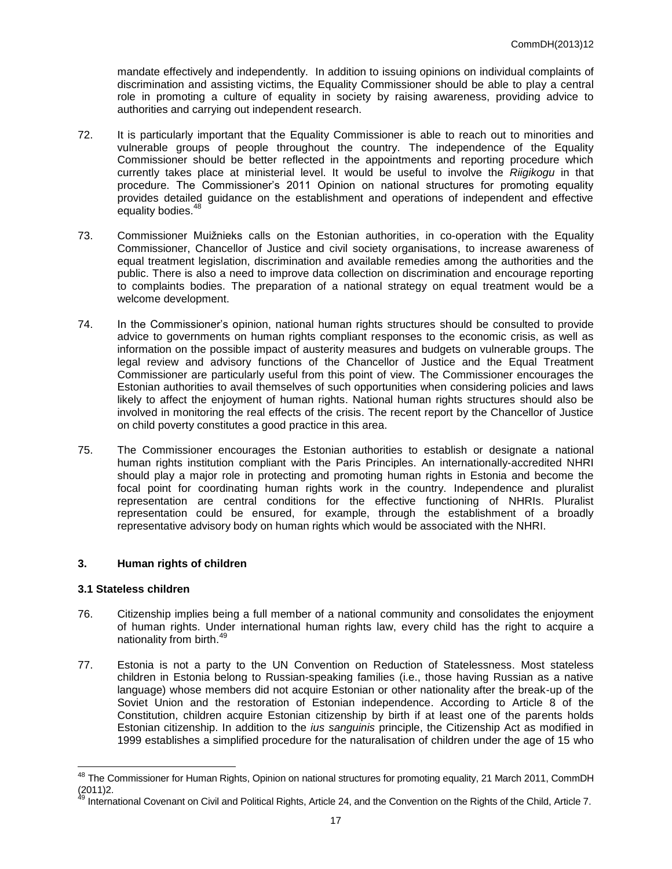mandate effectively and independently. In addition to issuing opinions on individual complaints of discrimination and assisting victims, the Equality Commissioner should be able to play a central role in promoting a culture of equality in society by raising awareness, providing advice to authorities and carrying out independent research.

- 72. It is particularly important that the Equality Commissioner is able to reach out to minorities and vulnerable groups of people throughout the country. The independence of the Equality Commissioner should be better reflected in the appointments and reporting procedure which currently takes place at ministerial level. It would be useful to involve the *Riigikogu* in that procedure. The Commissioner's 2011 Opinion on national structures for promoting equality provides detailed guidance on the establishment and operations of independent and effective equality bodies.<sup>48</sup>
- 73. Commissioner Muižnieks calls on the Estonian authorities, in co-operation with the Equality Commissioner, Chancellor of Justice and civil society organisations, to increase awareness of equal treatment legislation, discrimination and available remedies among the authorities and the public. There is also a need to improve data collection on discrimination and encourage reporting to complaints bodies. The preparation of a national strategy on equal treatment would be a welcome development.
- 74. In the Commissioner's opinion, national human rights structures should be consulted to provide advice to governments on human rights compliant responses to the economic crisis, as well as information on the possible impact of austerity measures and budgets on vulnerable groups. The legal review and advisory functions of the Chancellor of Justice and the Equal Treatment Commissioner are particularly useful from this point of view. The Commissioner encourages the Estonian authorities to avail themselves of such opportunities when considering policies and laws likely to affect the enjoyment of human rights. National human rights structures should also be involved in monitoring the real effects of the crisis. The recent report by the Chancellor of Justice on child poverty constitutes a good practice in this area.
- 75. The Commissioner encourages the Estonian authorities to establish or designate a national human rights institution compliant with the Paris Principles. An internationally-accredited NHRI should play a major role in protecting and promoting human rights in Estonia and become the focal point for coordinating human rights work in the country. Independence and pluralist representation are central conditions for the effective functioning of NHRIs. Pluralist representation could be ensured, for example, through the establishment of a broadly representative advisory body on human rights which would be associated with the NHRI.

# **3. Human rights of children**

# **3.1 Stateless children**

- 76. Citizenship implies being a full member of a national community and consolidates the enjoyment of human rights. Under international human rights law, every child has the right to acquire a nationality from birth. 49
- 77. Estonia is not a party to the UN Convention on Reduction of Statelessness. Most stateless children in Estonia belong to Russian-speaking families (i.e., those having Russian as a native language) whose members did not acquire Estonian or other nationality after the break-up of the Soviet Union and the restoration of Estonian independence. According to Article 8 of the Constitution, children acquire Estonian citizenship by birth if at least one of the parents holds Estonian citizenship. In addition to the *ius sanguinis* principle, the Citizenship Act as modified in 1999 establishes a simplified procedure for the naturalisation of children under the age of 15 who

 <sup>48</sup> The Commissioner for Human Rights, Opinion on national structures for promoting equality, 21 March 2011, CommDH  $(2011)2.$ 

<sup>49</sup> International Covenant on Civil and Political Rights, Article 24, and the Convention on the Rights of the Child, Article 7.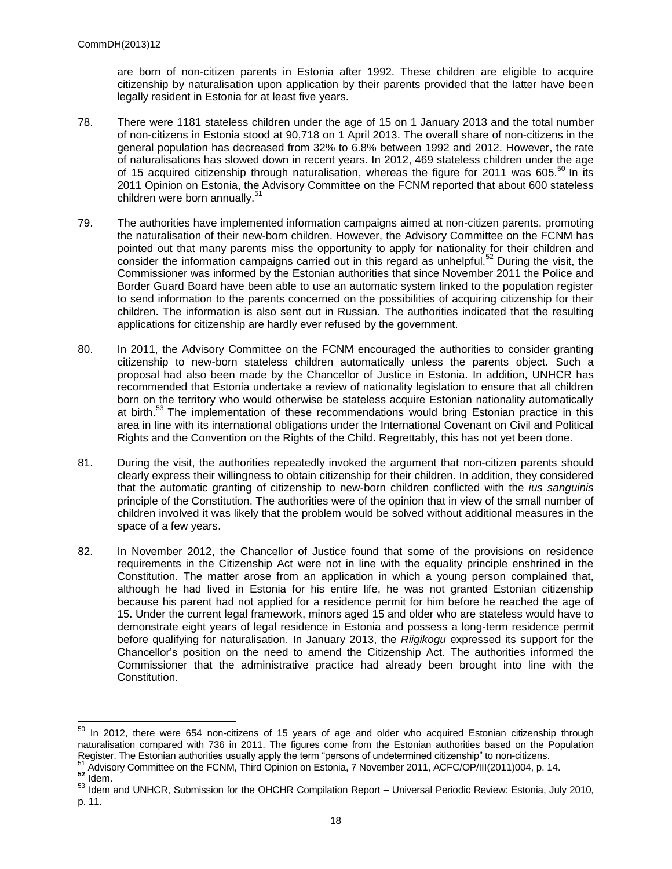are born of non-citizen parents in Estonia after 1992. These children are eligible to acquire citizenship by naturalisation upon application by their parents provided that the latter have been legally resident in Estonia for at least five years.

- 78. There were 1181 stateless children under the age of 15 on 1 January 2013 and the total number of non-citizens in Estonia stood at 90,718 on 1 April 2013. The overall share of non-citizens in the general population has decreased from 32% to 6.8% between 1992 and 2012. However, the rate of naturalisations has slowed down in recent years. In 2012, 469 stateless children under the age of 15 acquired citizenship through naturalisation, whereas the figure for 2011 was 605.<sup>50</sup> In its 2011 Opinion on Estonia, the Advisory Committee on the FCNM reported that about 600 stateless children were born annually.<sup>5</sup>
- 79. The authorities have implemented information campaigns aimed at non-citizen parents, promoting the naturalisation of their new-born children. However, the Advisory Committee on the FCNM has pointed out that many parents miss the opportunity to apply for nationality for their children and consider the information campaigns carried out in this regard as unhelpful.<sup>52</sup> During the visit, the Commissioner was informed by the Estonian authorities that since November 2011 the Police and Border Guard Board have been able to use an automatic system linked to the population register to send information to the parents concerned on the possibilities of acquiring citizenship for their children. The information is also sent out in Russian. The authorities indicated that the resulting applications for citizenship are hardly ever refused by the government.
- 80. In 2011, the Advisory Committee on the FCNM encouraged the authorities to consider granting citizenship to new-born stateless children automatically unless the parents object. Such a proposal had also been made by the Chancellor of Justice in Estonia. In addition, UNHCR has recommended that Estonia undertake a review of nationality legislation to ensure that all children born on the territory who would otherwise be stateless acquire Estonian nationality automatically at birth.<sup>53</sup> The implementation of these recommendations would bring Estonian practice in this area in line with its international obligations under the International Covenant on Civil and Political Rights and the Convention on the Rights of the Child. Regrettably, this has not yet been done.
- 81. During the visit, the authorities repeatedly invoked the argument that non-citizen parents should clearly express their willingness to obtain citizenship for their children. In addition, they considered that the automatic granting of citizenship to new-born children conflicted with the *ius sanguinis* principle of the Constitution. The authorities were of the opinion that in view of the small number of children involved it was likely that the problem would be solved without additional measures in the space of a few years.
- 82. In November 2012, the Chancellor of Justice found that some of the provisions on residence requirements in the Citizenship Act were not in line with the equality principle enshrined in the Constitution. The matter arose from an application in which a young person complained that, although he had lived in Estonia for his entire life, he was not granted Estonian citizenship because his parent had not applied for a residence permit for him before he reached the age of 15. Under the current legal framework, minors aged 15 and older who are stateless would have to demonstrate eight years of legal residence in Estonia and possess a long-term residence permit before qualifying for naturalisation. In January 2013, the *Riigikogu* expressed its support for the Chancellor's position on the need to amend the Citizenship Act. The authorities informed the Commissioner that the administrative practice had already been brought into line with the Constitution.

<sup>&</sup>lt;sup>50</sup> In 2012, there were 654 non-citizens of 15 years of age and older who acquired Estonian citizenship through naturalisation compared with 736 in 2011. The figures come from the Estonian authorities based on the Population Register. The Estonian authorities usually apply the term "persons of undetermined citizenship" to non-citizens.

<sup>51</sup> Advisory Committee on the FCNM, Third Opinion on Estonia, 7 November 2011, ACFC/OP/III(2011)004, p. 14.

**<sup>52</sup>** Idem.

<sup>53</sup> Idem and UNHCR, Submission for the OHCHR Compilation Report - Universal Periodic Review: Estonia, July 2010, p. 11.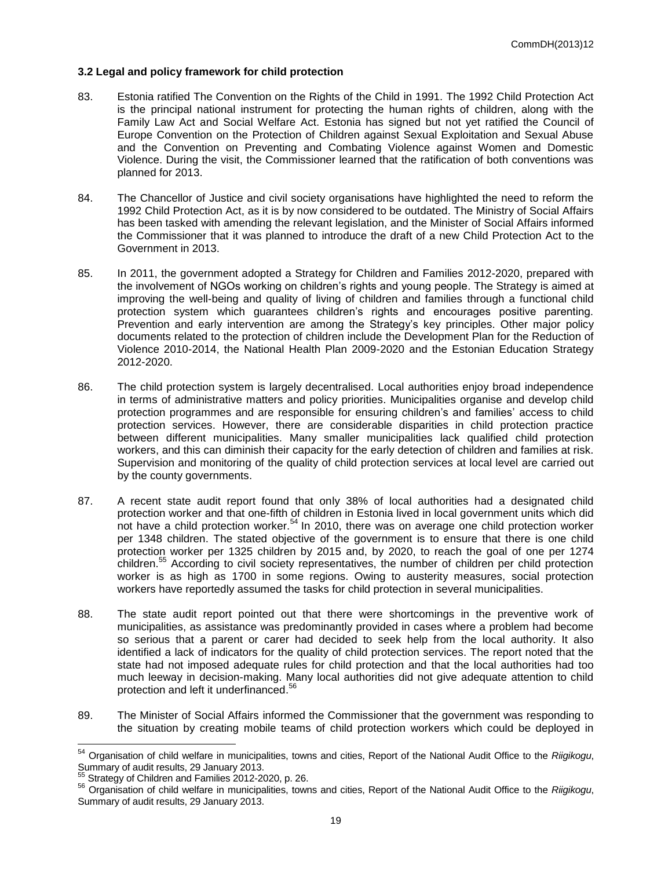## **3.2 Legal and policy framework for child protection**

- 83. Estonia ratified The Convention on the Rights of the Child in 1991. The 1992 Child Protection Act is the principal national instrument for protecting the human rights of children, along with the Family Law Act and Social Welfare Act. Estonia has signed but not yet ratified the Council of Europe Convention on the Protection of Children against Sexual Exploitation and Sexual Abuse and the Convention on Preventing and Combating Violence against Women and Domestic Violence. During the visit, the Commissioner learned that the ratification of both conventions was planned for 2013.
- 84. The Chancellor of Justice and civil society organisations have highlighted the need to reform the 1992 Child Protection Act, as it is by now considered to be outdated. The Ministry of Social Affairs has been tasked with amending the relevant legislation, and the Minister of Social Affairs informed the Commissioner that it was planned to introduce the draft of a new Child Protection Act to the Government in 2013.
- 85. In 2011, the government adopted a Strategy for Children and Families 2012-2020, prepared with the involvement of NGOs working on children's rights and young people. The Strategy is aimed at improving the well-being and quality of living of children and families through a functional child protection system which guarantees children's rights and encourages positive parenting. Prevention and early intervention are among the Strategy's key principles. Other major policy documents related to the protection of children include the Development Plan for the Reduction of Violence 2010-2014, the National Health Plan 2009-2020 and the Estonian Education Strategy 2012-2020.
- 86. The child protection system is largely decentralised. Local authorities enjoy broad independence in terms of administrative matters and policy priorities. Municipalities organise and develop child protection programmes and are responsible for ensuring children's and families' access to child protection services. However, there are considerable disparities in child protection practice between different municipalities. Many smaller municipalities lack qualified child protection workers, and this can diminish their capacity for the early detection of children and families at risk. Supervision and monitoring of the quality of child protection services at local level are carried out by the county governments.
- 87. A recent state audit report found that only 38% of local authorities had a designated child protection worker and that one-fifth of children in Estonia lived in local government units which did not have a child protection worker.<sup>54</sup> In 2010, there was on average one child protection worker per 1348 children. The stated objective of the government is to ensure that there is one child protection worker per 1325 children by 2015 and, by 2020, to reach the goal of one per 1274 children. <sup>55</sup> According to civil society representatives, the number of children per child protection worker is as high as 1700 in some regions. Owing to austerity measures, social protection workers have reportedly assumed the tasks for child protection in several municipalities.
- 88. The state audit report pointed out that there were shortcomings in the preventive work of municipalities, as assistance was predominantly provided in cases where a problem had become so serious that a parent or carer had decided to seek help from the local authority. It also identified a lack of indicators for the quality of child protection services. The report noted that the state had not imposed adequate rules for child protection and that the local authorities had too much leeway in decision-making. Many local authorities did not give adequate attention to child protection and left it underfinanced.<sup>56</sup>
- 89. The Minister of Social Affairs informed the Commissioner that the government was responding to the situation by creating mobile teams of child protection workers which could be deployed in

<sup>54</sup> Organisation of child welfare in municipalities, towns and cities, Report of the National Audit Office to the *Riigikogu*, Summary of audit results, 29 January 2013.

<sup>55</sup> Strategy of Children and Families 2012-2020, p. 26.

<sup>56</sup> Organisation of child welfare in municipalities, towns and cities, Report of the National Audit Office to the *Riigikogu*, Summary of audit results, 29 January 2013.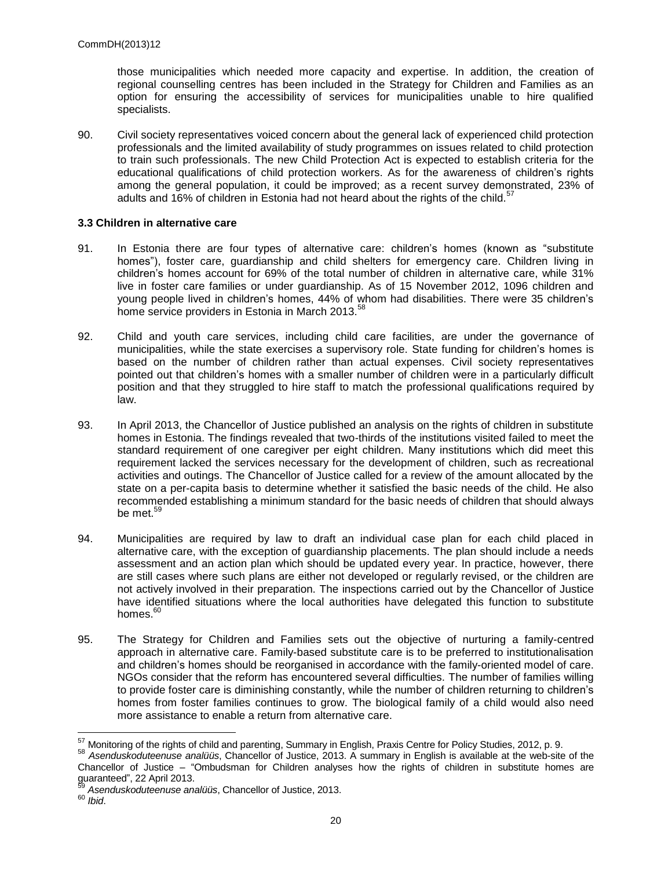those municipalities which needed more capacity and expertise. In addition, the creation of regional counselling centres has been included in the Strategy for Children and Families as an option for ensuring the accessibility of services for municipalities unable to hire qualified specialists.

90. Civil society representatives voiced concern about the general lack of experienced child protection professionals and the limited availability of study programmes on issues related to child protection to train such professionals. The new Child Protection Act is expected to establish criteria for the educational qualifications of child protection workers. As for the awareness of children's rights among the general population, it could be improved; as a recent survey demonstrated, 23% of adults and 16% of children in Estonia had not heard about the rights of the child.<sup>5</sup>

## **3.3 Children in alternative care**

- 91. In Estonia there are four types of alternative care: children's homes (known as "substitute homes"), foster care, guardianship and child shelters for emergency care. Children living in children's homes account for 69% of the total number of children in alternative care, while 31% live in foster care families or under guardianship. As of 15 November 2012, 1096 children and young people lived in children's homes, 44% of whom had disabilities. There were 35 children's home service providers in Estonia in March 2013.<sup>58</sup>
- 92. Child and youth care services, including child care facilities, are under the governance of municipalities, while the state exercises a supervisory role. State funding for children's homes is based on the number of children rather than actual expenses. Civil society representatives pointed out that children's homes with a smaller number of children were in a particularly difficult position and that they struggled to hire staff to match the professional qualifications required by law.
- 93. In April 2013, the Chancellor of Justice published an analysis on the rights of children in substitute homes in Estonia. The findings revealed that two-thirds of the institutions visited failed to meet the standard requirement of one caregiver per eight children. Many institutions which did meet this requirement lacked the services necessary for the development of children, such as recreational activities and outings. The Chancellor of Justice called for a review of the amount allocated by the state on a per-capita basis to determine whether it satisfied the basic needs of the child. He also recommended establishing a minimum standard for the basic needs of children that should always be met. 59
- 94. Municipalities are required by law to draft an individual case plan for each child placed in alternative care, with the exception of guardianship placements. The plan should include a needs assessment and an action plan which should be updated every year. In practice, however, there are still cases where such plans are either not developed or regularly revised, or the children are not actively involved in their preparation. The inspections carried out by the Chancellor of Justice have identified situations where the local authorities have delegated this function to substitute homes.<sup>60</sup>
- 95. The Strategy for Children and Families sets out the objective of nurturing a family-centred approach in alternative care. Family-based substitute care is to be preferred to institutionalisation and children's homes should be reorganised in accordance with the family-oriented model of care. NGOs consider that the reform has encountered several difficulties. The number of families willing to provide foster care is diminishing constantly, while the number of children returning to children's homes from foster families continues to grow. The biological family of a child would also need more assistance to enable a return from alternative care.

 $57$  Monitoring of the rights of child and parenting, Summary in English, Praxis Centre for Policy Studies, 2012, p. 9.

<sup>58</sup> *Asenduskoduteenuse analüüs*, Chancellor of Justice, 2013. A summary in English is available at the web-site of the Chancellor of Justice – "Ombudsman for Children analyses how the rights of children in substitute homes are guaranteed", 22 April 2013.

<sup>59</sup> *Asenduskoduteenuse analüüs*, Chancellor of Justice, 2013.

<sup>60</sup> *Ibid*.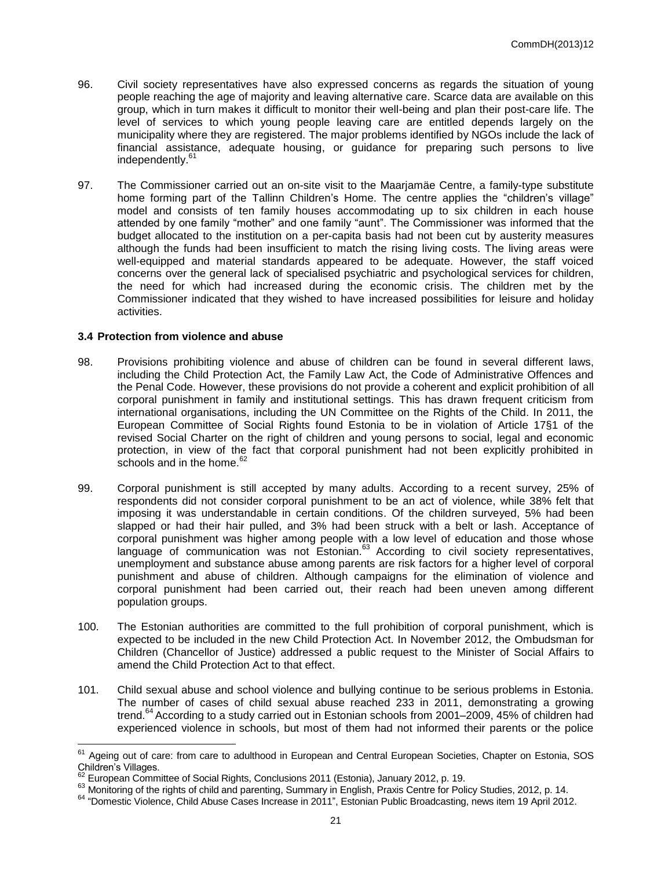- 96. Civil society representatives have also expressed concerns as regards the situation of young people reaching the age of majority and leaving alternative care. Scarce data are available on this group, which in turn makes it difficult to monitor their well-being and plan their post-care life. The level of services to which young people leaving care are entitled depends largely on the municipality where they are registered. The major problems identified by NGOs include the lack of financial assistance, adequate housing, or guidance for preparing such persons to live independently. 61
- 97. The Commissioner carried out an on-site visit to the Maarjamäe Centre, a family-type substitute home forming part of the Tallinn Children's Home. The centre applies the "children's village" model and consists of ten family houses accommodating up to six children in each house attended by one family "mother" and one family "aunt". The Commissioner was informed that the budget allocated to the institution on a per-capita basis had not been cut by austerity measures although the funds had been insufficient to match the rising living costs. The living areas were well-equipped and material standards appeared to be adequate. However, the staff voiced concerns over the general lack of specialised psychiatric and psychological services for children, the need for which had increased during the economic crisis. The children met by the Commissioner indicated that they wished to have increased possibilities for leisure and holiday activities.

#### **3.4 Protection from violence and abuse**

- 98. Provisions prohibiting violence and abuse of children can be found in several different laws, including the Child Protection Act, the Family Law Act, the Code of Administrative Offences and the Penal Code. However, these provisions do not provide a coherent and explicit prohibition of all corporal punishment in family and institutional settings. This has drawn frequent criticism from international organisations, including the UN Committee on the Rights of the Child. In 2011, the European Committee of Social Rights found Estonia to be in violation of Article 17§1 of the revised Social Charter on the right of children and young persons to social, legal and economic protection, in view of the fact that corporal punishment had not been explicitly prohibited in schools and in the home.<sup>62</sup>
- 99. Corporal punishment is still accepted by many adults. According to a recent survey, 25% of respondents did not consider corporal punishment to be an act of violence, while 38% felt that imposing it was understandable in certain conditions. Of the children surveyed, 5% had been slapped or had their hair pulled, and 3% had been struck with a belt or lash. Acceptance of corporal punishment was higher among people with a low level of education and those whose language of communication was not Estonian.<sup>63</sup> According to civil society representatives, unemployment and substance abuse among parents are risk factors for a higher level of corporal punishment and abuse of children. Although campaigns for the elimination of violence and corporal punishment had been carried out, their reach had been uneven among different population groups.
- 100. The Estonian authorities are committed to the full prohibition of corporal punishment, which is expected to be included in the new Child Protection Act. In November 2012, the Ombudsman for Children (Chancellor of Justice) addressed a public request to the Minister of Social Affairs to amend the Child Protection Act to that effect.
- 101. Child sexual abuse and school violence and bullying continue to be serious problems in Estonia. The number of cases of child sexual abuse reached 233 in 2011, demonstrating a growing trend.<sup>64</sup> According to a study carried out in Estonian schools from 2001–2009, 45% of children had experienced violence in schools, but most of them had not informed their parents or the police

<sup>&</sup>lt;sup>61</sup> Ageing out of care: from care to adulthood in European and Central European Societies, Chapter on Estonia, SOS Children's Villages.

<sup>62</sup> European Committee of Social Rights, Conclusions 2011 (Estonia), January 2012, p. 19.

<sup>63</sup> Monitoring of the rights of child and parenting, Summary in English, Praxis Centre for Policy Studies, 2012, p. 14.

<sup>&</sup>lt;sup>64</sup> "Domestic Violence, Child Abuse Cases Increase in 2011", Estonian Public Broadcasting, news item 19 April 2012.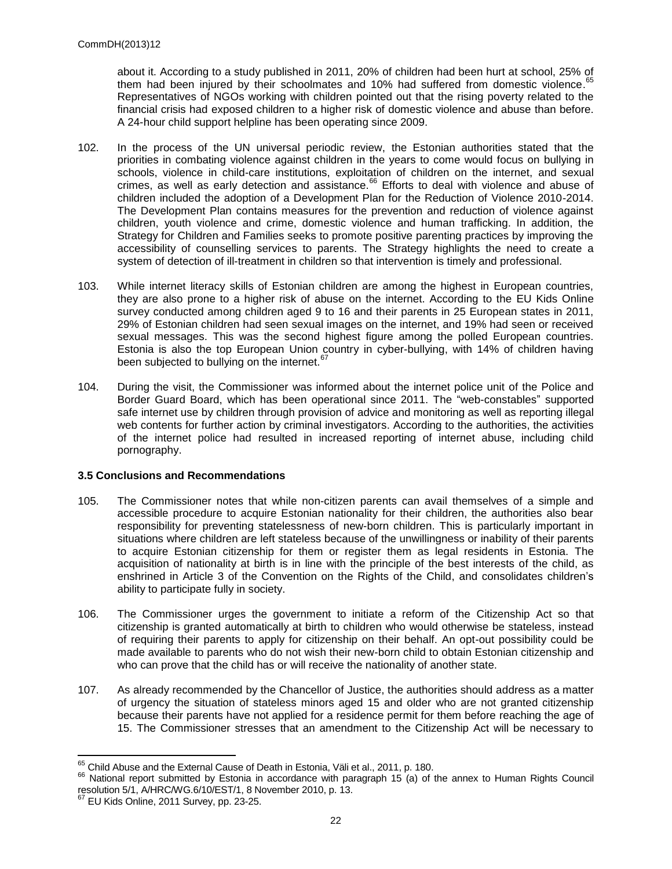about it. According to a study published in 2011, 20% of children had been hurt at school, 25% of them had been injured by their schoolmates and 10% had suffered from domestic violence.<sup>65</sup> Representatives of NGOs working with children pointed out that the rising poverty related to the financial crisis had exposed children to a higher risk of domestic violence and abuse than before. A 24-hour child support helpline has been operating since 2009.

- 102. In the process of the UN universal periodic review, the Estonian authorities stated that the priorities in combating violence against children in the years to come would focus on bullying in schools, violence in child-care institutions, exploitation of children on the internet, and sexual crimes, as well as early detection and assistance.<sup>66</sup> Efforts to deal with violence and abuse of children included the adoption of a Development Plan for the Reduction of Violence 2010-2014. The Development Plan contains measures for the prevention and reduction of violence against children, youth violence and crime, domestic violence and human trafficking. In addition, the Strategy for Children and Families seeks to promote positive parenting practices by improving the accessibility of counselling services to parents. The Strategy highlights the need to create a system of detection of ill-treatment in children so that intervention is timely and professional.
- 103. While internet literacy skills of Estonian children are among the highest in European countries, they are also prone to a higher risk of abuse on the internet. According to the EU Kids Online survey conducted among children aged 9 to 16 and their parents in 25 European states in 2011, 29% of Estonian children had seen sexual images on the internet, and 19% had seen or received sexual messages. This was the second highest figure among the polled European countries. Estonia is also the top European Union country in cyber-bullying, with 14% of children having been subjected to bullying on the internet.<sup>67</sup>
- 104. During the visit, the Commissioner was informed about the internet police unit of the Police and Border Guard Board, which has been operational since 2011. The "web-constables" supported safe internet use by children through provision of advice and monitoring as well as reporting illegal web contents for further action by criminal investigators. According to the authorities, the activities of the internet police had resulted in increased reporting of internet abuse, including child pornography.

#### **3.5 Conclusions and Recommendations**

- 105. The Commissioner notes that while non-citizen parents can avail themselves of a simple and accessible procedure to acquire Estonian nationality for their children, the authorities also bear responsibility for preventing statelessness of new-born children. This is particularly important in situations where children are left stateless because of the unwillingness or inability of their parents to acquire Estonian citizenship for them or register them as legal residents in Estonia. The acquisition of nationality at birth is in line with the principle of the best interests of the child, as enshrined in Article 3 of the Convention on the Rights of the Child, and consolidates children's ability to participate fully in society.
- 106. The Commissioner urges the government to initiate a reform of the Citizenship Act so that citizenship is granted automatically at birth to children who would otherwise be stateless, instead of requiring their parents to apply for citizenship on their behalf. An opt-out possibility could be made available to parents who do not wish their new-born child to obtain Estonian citizenship and who can prove that the child has or will receive the nationality of another state.
- 107. As already recommended by the Chancellor of Justice, the authorities should address as a matter of urgency the situation of stateless minors aged 15 and older who are not granted citizenship because their parents have not applied for a residence permit for them before reaching the age of 15. The Commissioner stresses that an amendment to the Citizenship Act will be necessary to

 $65$  Child Abuse and the External Cause of Death in Estonia, Väli et al., 2011, p. 180.

<sup>&</sup>lt;sup>66</sup> National report submitted by Estonia in accordance with paragraph 15 (a) of the annex to Human Rights Council resolution 5/1, A/HRC/WG.6/10/EST/1, 8 November 2010, p. 13.

 $67$  EU Kids Online, 2011 Survey, pp. 23-25.